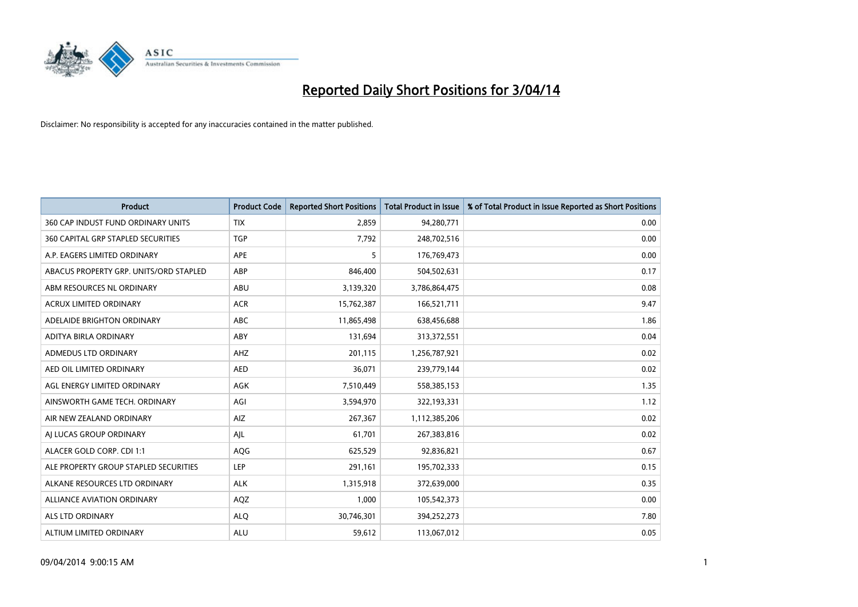

| <b>Product</b>                         | <b>Product Code</b> | <b>Reported Short Positions</b> | <b>Total Product in Issue</b> | % of Total Product in Issue Reported as Short Positions |
|----------------------------------------|---------------------|---------------------------------|-------------------------------|---------------------------------------------------------|
| 360 CAP INDUST FUND ORDINARY UNITS     | <b>TIX</b>          | 2,859                           | 94,280,771                    | 0.00                                                    |
| 360 CAPITAL GRP STAPLED SECURITIES     | <b>TGP</b>          | 7,792                           | 248,702,516                   | 0.00                                                    |
| A.P. EAGERS LIMITED ORDINARY           | APE                 | 5                               | 176,769,473                   | 0.00                                                    |
| ABACUS PROPERTY GRP. UNITS/ORD STAPLED | ABP                 | 846,400                         | 504,502,631                   | 0.17                                                    |
| ABM RESOURCES NL ORDINARY              | ABU                 | 3,139,320                       | 3,786,864,475                 | 0.08                                                    |
| <b>ACRUX LIMITED ORDINARY</b>          | <b>ACR</b>          | 15,762,387                      | 166,521,711                   | 9.47                                                    |
| ADELAIDE BRIGHTON ORDINARY             | <b>ABC</b>          | 11,865,498                      | 638,456,688                   | 1.86                                                    |
| ADITYA BIRLA ORDINARY                  | ABY                 | 131,694                         | 313,372,551                   | 0.04                                                    |
| ADMEDUS LTD ORDINARY                   | AHZ                 | 201,115                         | 1,256,787,921                 | 0.02                                                    |
| AED OIL LIMITED ORDINARY               | <b>AED</b>          | 36,071                          | 239,779,144                   | 0.02                                                    |
| AGL ENERGY LIMITED ORDINARY            | AGK                 | 7,510,449                       | 558,385,153                   | 1.35                                                    |
| AINSWORTH GAME TECH. ORDINARY          | AGI                 | 3,594,970                       | 322,193,331                   | 1.12                                                    |
| AIR NEW ZEALAND ORDINARY               | AIZ                 | 267,367                         | 1,112,385,206                 | 0.02                                                    |
| AI LUCAS GROUP ORDINARY                | AJL                 | 61,701                          | 267,383,816                   | 0.02                                                    |
| ALACER GOLD CORP. CDI 1:1              | AQG                 | 625,529                         | 92,836,821                    | 0.67                                                    |
| ALE PROPERTY GROUP STAPLED SECURITIES  | LEP                 | 291,161                         | 195,702,333                   | 0.15                                                    |
| ALKANE RESOURCES LTD ORDINARY          | <b>ALK</b>          | 1,315,918                       | 372,639,000                   | 0.35                                                    |
| <b>ALLIANCE AVIATION ORDINARY</b>      | AQZ                 | 1,000                           | 105,542,373                   | 0.00                                                    |
| ALS LTD ORDINARY                       | <b>ALO</b>          | 30,746,301                      | 394,252,273                   | 7.80                                                    |
| ALTIUM LIMITED ORDINARY                | <b>ALU</b>          | 59,612                          | 113,067,012                   | 0.05                                                    |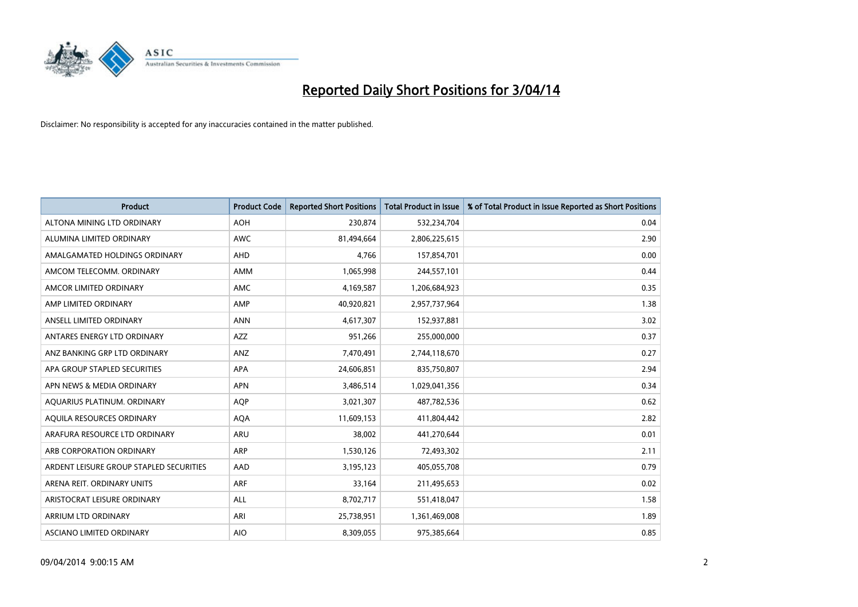

| <b>Product</b>                          | <b>Product Code</b> | <b>Reported Short Positions</b> | <b>Total Product in Issue</b> | % of Total Product in Issue Reported as Short Positions |
|-----------------------------------------|---------------------|---------------------------------|-------------------------------|---------------------------------------------------------|
| ALTONA MINING LTD ORDINARY              | <b>AOH</b>          | 230,874                         | 532,234,704                   | 0.04                                                    |
| ALUMINA LIMITED ORDINARY                | AWC                 | 81,494,664                      | 2,806,225,615                 | 2.90                                                    |
| AMALGAMATED HOLDINGS ORDINARY           | AHD                 | 4.766                           | 157,854,701                   | 0.00                                                    |
| AMCOM TELECOMM. ORDINARY                | AMM                 | 1,065,998                       | 244,557,101                   | 0.44                                                    |
| AMCOR LIMITED ORDINARY                  | AMC                 | 4,169,587                       | 1,206,684,923                 | 0.35                                                    |
| AMP LIMITED ORDINARY                    | AMP                 | 40,920,821                      | 2,957,737,964                 | 1.38                                                    |
| ANSELL LIMITED ORDINARY                 | <b>ANN</b>          | 4,617,307                       | 152,937,881                   | 3.02                                                    |
| ANTARES ENERGY LTD ORDINARY             | AZZ                 | 951,266                         | 255,000,000                   | 0.37                                                    |
| ANZ BANKING GRP LTD ORDINARY            | ANZ                 | 7,470,491                       | 2,744,118,670                 | 0.27                                                    |
| APA GROUP STAPLED SECURITIES            | <b>APA</b>          | 24,606,851                      | 835,750,807                   | 2.94                                                    |
| APN NEWS & MEDIA ORDINARY               | <b>APN</b>          | 3,486,514                       | 1,029,041,356                 | 0.34                                                    |
| AQUARIUS PLATINUM. ORDINARY             | AQP                 | 3,021,307                       | 487,782,536                   | 0.62                                                    |
| AQUILA RESOURCES ORDINARY               | <b>AQA</b>          | 11,609,153                      | 411,804,442                   | 2.82                                                    |
| ARAFURA RESOURCE LTD ORDINARY           | ARU                 | 38,002                          | 441,270,644                   | 0.01                                                    |
| ARB CORPORATION ORDINARY                | <b>ARP</b>          | 1,530,126                       | 72,493,302                    | 2.11                                                    |
| ARDENT LEISURE GROUP STAPLED SECURITIES | AAD                 | 3,195,123                       | 405,055,708                   | 0.79                                                    |
| ARENA REIT. ORDINARY UNITS              | <b>ARF</b>          | 33,164                          | 211,495,653                   | 0.02                                                    |
| ARISTOCRAT LEISURE ORDINARY             | <b>ALL</b>          | 8,702,717                       | 551,418,047                   | 1.58                                                    |
| ARRIUM LTD ORDINARY                     | ARI                 | 25,738,951                      | 1,361,469,008                 | 1.89                                                    |
| ASCIANO LIMITED ORDINARY                | <b>AIO</b>          | 8,309,055                       | 975,385,664                   | 0.85                                                    |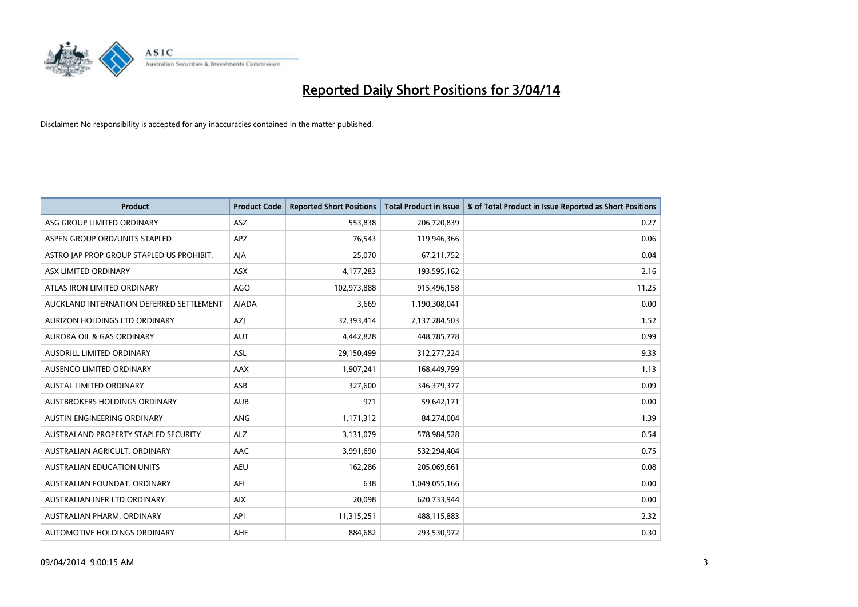

| <b>Product</b>                            | <b>Product Code</b> | <b>Reported Short Positions</b> | <b>Total Product in Issue</b> | % of Total Product in Issue Reported as Short Positions |
|-------------------------------------------|---------------------|---------------------------------|-------------------------------|---------------------------------------------------------|
| ASG GROUP LIMITED ORDINARY                | <b>ASZ</b>          | 553,838                         | 206,720,839                   | 0.27                                                    |
| ASPEN GROUP ORD/UNITS STAPLED             | <b>APZ</b>          | 76,543                          | 119,946,366                   | 0.06                                                    |
| ASTRO JAP PROP GROUP STAPLED US PROHIBIT. | AJA                 | 25,070                          | 67,211,752                    | 0.04                                                    |
| ASX LIMITED ORDINARY                      | ASX                 | 4,177,283                       | 193,595,162                   | 2.16                                                    |
| ATLAS IRON LIMITED ORDINARY               | <b>AGO</b>          | 102,973,888                     | 915,496,158                   | 11.25                                                   |
| AUCKLAND INTERNATION DEFERRED SETTLEMENT  | <b>AIADA</b>        | 3,669                           | 1,190,308,041                 | 0.00                                                    |
| AURIZON HOLDINGS LTD ORDINARY             | AZJ                 | 32,393,414                      | 2,137,284,503                 | 1.52                                                    |
| AURORA OIL & GAS ORDINARY                 | AUT                 | 4,442,828                       | 448,785,778                   | 0.99                                                    |
| <b>AUSDRILL LIMITED ORDINARY</b>          | ASL                 | 29,150,499                      | 312,277,224                   | 9.33                                                    |
| AUSENCO LIMITED ORDINARY                  | AAX                 | 1,907,241                       | 168,449,799                   | 1.13                                                    |
| AUSTAL LIMITED ORDINARY                   | ASB                 | 327,600                         | 346, 379, 377                 | 0.09                                                    |
| <b>AUSTBROKERS HOLDINGS ORDINARY</b>      | <b>AUB</b>          | 971                             | 59,642,171                    | 0.00                                                    |
| AUSTIN ENGINEERING ORDINARY               | ANG                 | 1,171,312                       | 84,274,004                    | 1.39                                                    |
| AUSTRALAND PROPERTY STAPLED SECURITY      | <b>ALZ</b>          | 3,131,079                       | 578,984,528                   | 0.54                                                    |
| AUSTRALIAN AGRICULT, ORDINARY             | <b>AAC</b>          | 3,991,690                       | 532,294,404                   | 0.75                                                    |
| AUSTRALIAN EDUCATION UNITS                | <b>AEU</b>          | 162,286                         | 205,069,661                   | 0.08                                                    |
| AUSTRALIAN FOUNDAT. ORDINARY              | AFI                 | 638                             | 1,049,055,166                 | 0.00                                                    |
| AUSTRALIAN INFR LTD ORDINARY              | <b>AIX</b>          | 20,098                          | 620,733,944                   | 0.00                                                    |
| AUSTRALIAN PHARM, ORDINARY                | API                 | 11,315,251                      | 488,115,883                   | 2.32                                                    |
| AUTOMOTIVE HOLDINGS ORDINARY              | AHE                 | 884,682                         | 293,530,972                   | 0.30                                                    |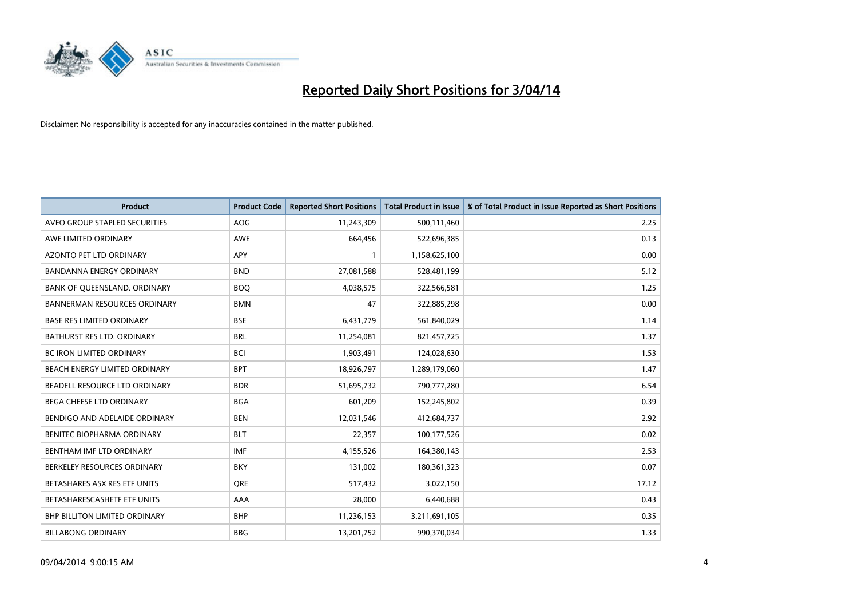

| <b>Product</b>                       | <b>Product Code</b> | <b>Reported Short Positions</b> | <b>Total Product in Issue</b> | % of Total Product in Issue Reported as Short Positions |
|--------------------------------------|---------------------|---------------------------------|-------------------------------|---------------------------------------------------------|
| AVEO GROUP STAPLED SECURITIES        | <b>AOG</b>          | 11,243,309                      | 500,111,460                   | 2.25                                                    |
| AWE LIMITED ORDINARY                 | <b>AWE</b>          | 664,456                         | 522,696,385                   | 0.13                                                    |
| AZONTO PET LTD ORDINARY              | <b>APY</b>          | 1                               | 1,158,625,100                 | 0.00                                                    |
| <b>BANDANNA ENERGY ORDINARY</b>      | <b>BND</b>          | 27,081,588                      | 528,481,199                   | 5.12                                                    |
| BANK OF QUEENSLAND. ORDINARY         | <b>BOQ</b>          | 4,038,575                       | 322,566,581                   | 1.25                                                    |
| <b>BANNERMAN RESOURCES ORDINARY</b>  | <b>BMN</b>          | 47                              | 322,885,298                   | 0.00                                                    |
| <b>BASE RES LIMITED ORDINARY</b>     | <b>BSE</b>          | 6,431,779                       | 561,840,029                   | 1.14                                                    |
| BATHURST RES LTD. ORDINARY           | <b>BRL</b>          | 11,254,081                      | 821,457,725                   | 1.37                                                    |
| <b>BC IRON LIMITED ORDINARY</b>      | <b>BCI</b>          | 1,903,491                       | 124,028,630                   | 1.53                                                    |
| BEACH ENERGY LIMITED ORDINARY        | <b>BPT</b>          | 18,926,797                      | 1,289,179,060                 | 1.47                                                    |
| BEADELL RESOURCE LTD ORDINARY        | <b>BDR</b>          | 51,695,732                      | 790,777,280                   | 6.54                                                    |
| BEGA CHEESE LTD ORDINARY             | <b>BGA</b>          | 601,209                         | 152,245,802                   | 0.39                                                    |
| BENDIGO AND ADELAIDE ORDINARY        | <b>BEN</b>          | 12,031,546                      | 412,684,737                   | 2.92                                                    |
| BENITEC BIOPHARMA ORDINARY           | <b>BLT</b>          | 22,357                          | 100,177,526                   | 0.02                                                    |
| BENTHAM IMF LTD ORDINARY             | <b>IMF</b>          | 4,155,526                       | 164,380,143                   | 2.53                                                    |
| BERKELEY RESOURCES ORDINARY          | <b>BKY</b>          | 131,002                         | 180,361,323                   | 0.07                                                    |
| BETASHARES ASX RES ETF UNITS         | <b>ORE</b>          | 517,432                         | 3,022,150                     | 17.12                                                   |
| BETASHARESCASHETF ETF UNITS          | AAA                 | 28,000                          | 6,440,688                     | 0.43                                                    |
| <b>BHP BILLITON LIMITED ORDINARY</b> | <b>BHP</b>          | 11,236,153                      | 3,211,691,105                 | 0.35                                                    |
| <b>BILLABONG ORDINARY</b>            | <b>BBG</b>          | 13,201,752                      | 990,370,034                   | 1.33                                                    |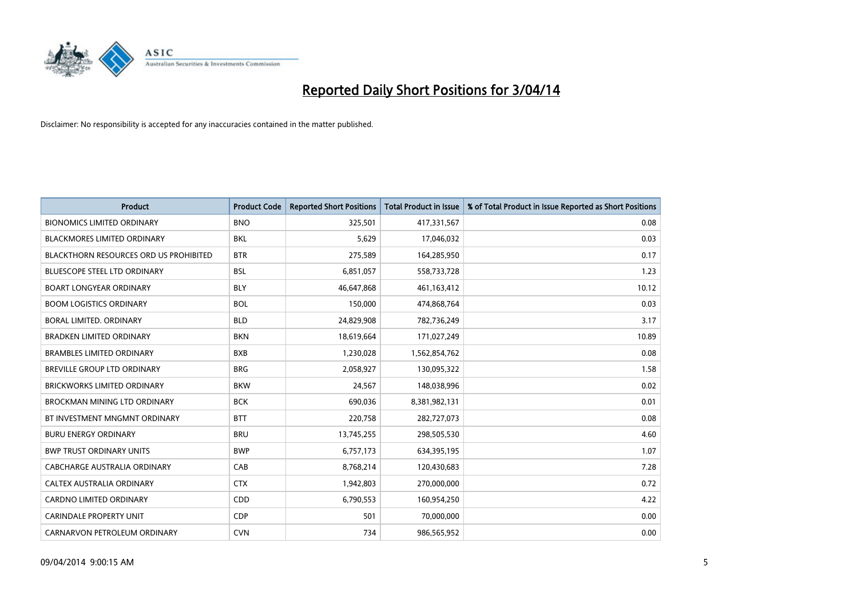

| <b>Product</b>                                | <b>Product Code</b> | <b>Reported Short Positions</b> | <b>Total Product in Issue</b> | % of Total Product in Issue Reported as Short Positions |
|-----------------------------------------------|---------------------|---------------------------------|-------------------------------|---------------------------------------------------------|
| <b>BIONOMICS LIMITED ORDINARY</b>             | <b>BNO</b>          | 325,501                         | 417,331,567                   | 0.08                                                    |
| BLACKMORES LIMITED ORDINARY                   | BKL                 | 5,629                           | 17,046,032                    | 0.03                                                    |
| <b>BLACKTHORN RESOURCES ORD US PROHIBITED</b> | <b>BTR</b>          | 275,589                         | 164,285,950                   | 0.17                                                    |
| <b>BLUESCOPE STEEL LTD ORDINARY</b>           | <b>BSL</b>          | 6,851,057                       | 558,733,728                   | 1.23                                                    |
| <b>BOART LONGYEAR ORDINARY</b>                | <b>BLY</b>          | 46,647,868                      | 461,163,412                   | 10.12                                                   |
| <b>BOOM LOGISTICS ORDINARY</b>                | <b>BOL</b>          | 150,000                         | 474,868,764                   | 0.03                                                    |
| BORAL LIMITED, ORDINARY                       | <b>BLD</b>          | 24,829,908                      | 782,736,249                   | 3.17                                                    |
| <b>BRADKEN LIMITED ORDINARY</b>               | <b>BKN</b>          | 18,619,664                      | 171,027,249                   | 10.89                                                   |
| <b>BRAMBLES LIMITED ORDINARY</b>              | <b>BXB</b>          | 1,230,028                       | 1,562,854,762                 | 0.08                                                    |
| <b>BREVILLE GROUP LTD ORDINARY</b>            | <b>BRG</b>          | 2,058,927                       | 130,095,322                   | 1.58                                                    |
| <b>BRICKWORKS LIMITED ORDINARY</b>            | <b>BKW</b>          | 24,567                          | 148,038,996                   | 0.02                                                    |
| <b>BROCKMAN MINING LTD ORDINARY</b>           | <b>BCK</b>          | 690,036                         | 8,381,982,131                 | 0.01                                                    |
| BT INVESTMENT MNGMNT ORDINARY                 | <b>BTT</b>          | 220,758                         | 282,727,073                   | 0.08                                                    |
| <b>BURU ENERGY ORDINARY</b>                   | <b>BRU</b>          | 13,745,255                      | 298,505,530                   | 4.60                                                    |
| <b>BWP TRUST ORDINARY UNITS</b>               | <b>BWP</b>          | 6,757,173                       | 634,395,195                   | 1.07                                                    |
| CABCHARGE AUSTRALIA ORDINARY                  | CAB                 | 8,768,214                       | 120,430,683                   | 7.28                                                    |
| CALTEX AUSTRALIA ORDINARY                     | <b>CTX</b>          | 1,942,803                       | 270,000,000                   | 0.72                                                    |
| CARDNO LIMITED ORDINARY                       | CDD                 | 6,790,553                       | 160,954,250                   | 4.22                                                    |
| <b>CARINDALE PROPERTY UNIT</b>                | <b>CDP</b>          | 501                             | 70,000,000                    | 0.00                                                    |
| CARNARVON PETROLEUM ORDINARY                  | <b>CVN</b>          | 734                             | 986,565,952                   | 0.00                                                    |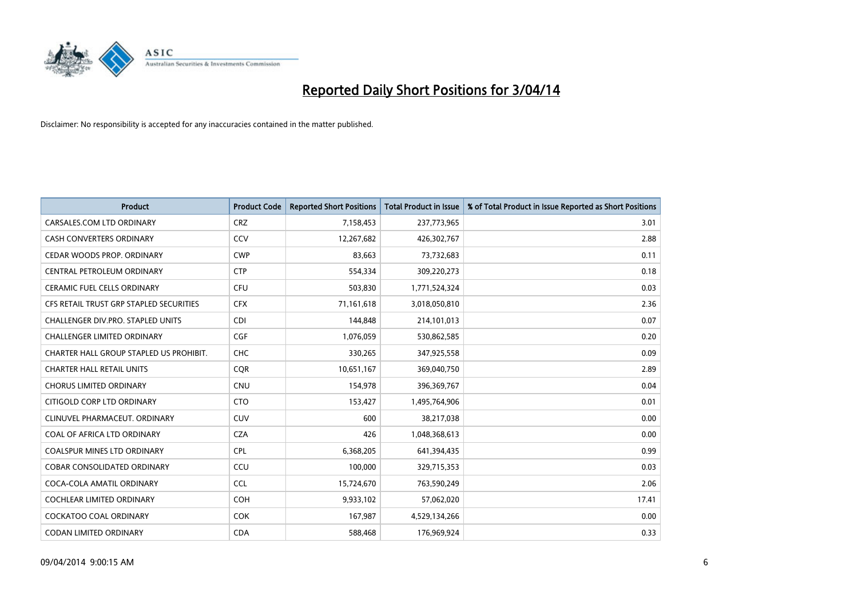

| <b>Product</b>                           | <b>Product Code</b> | <b>Reported Short Positions</b> | <b>Total Product in Issue</b> | % of Total Product in Issue Reported as Short Positions |
|------------------------------------------|---------------------|---------------------------------|-------------------------------|---------------------------------------------------------|
| CARSALES.COM LTD ORDINARY                | <b>CRZ</b>          | 7,158,453                       | 237,773,965                   | 3.01                                                    |
| <b>CASH CONVERTERS ORDINARY</b>          | <b>CCV</b>          | 12,267,682                      | 426,302,767                   | 2.88                                                    |
| CEDAR WOODS PROP. ORDINARY               | <b>CWP</b>          | 83,663                          | 73,732,683                    | 0.11                                                    |
| CENTRAL PETROLEUM ORDINARY               | <b>CTP</b>          | 554,334                         | 309,220,273                   | 0.18                                                    |
| <b>CERAMIC FUEL CELLS ORDINARY</b>       | <b>CFU</b>          | 503,830                         | 1,771,524,324                 | 0.03                                                    |
| CFS RETAIL TRUST GRP STAPLED SECURITIES  | <b>CFX</b>          | 71,161,618                      | 3,018,050,810                 | 2.36                                                    |
| <b>CHALLENGER DIV.PRO. STAPLED UNITS</b> | <b>CDI</b>          | 144,848                         | 214,101,013                   | 0.07                                                    |
| <b>CHALLENGER LIMITED ORDINARY</b>       | <b>CGF</b>          | 1,076,059                       | 530,862,585                   | 0.20                                                    |
| CHARTER HALL GROUP STAPLED US PROHIBIT.  | <b>CHC</b>          | 330,265                         | 347,925,558                   | 0.09                                                    |
| <b>CHARTER HALL RETAIL UNITS</b>         | <b>COR</b>          | 10,651,167                      | 369,040,750                   | 2.89                                                    |
| <b>CHORUS LIMITED ORDINARY</b>           | <b>CNU</b>          | 154,978                         | 396,369,767                   | 0.04                                                    |
| CITIGOLD CORP LTD ORDINARY               | <b>CTO</b>          | 153,427                         | 1,495,764,906                 | 0.01                                                    |
| CLINUVEL PHARMACEUT. ORDINARY            | <b>CUV</b>          | 600                             | 38,217,038                    | 0.00                                                    |
| COAL OF AFRICA LTD ORDINARY              | <b>CZA</b>          | 426                             | 1,048,368,613                 | 0.00                                                    |
| <b>COALSPUR MINES LTD ORDINARY</b>       | <b>CPL</b>          | 6,368,205                       | 641,394,435                   | 0.99                                                    |
| COBAR CONSOLIDATED ORDINARY              | CCU                 | 100,000                         | 329,715,353                   | 0.03                                                    |
| COCA-COLA AMATIL ORDINARY                | <b>CCL</b>          | 15,724,670                      | 763,590,249                   | 2.06                                                    |
| COCHLEAR LIMITED ORDINARY                | <b>COH</b>          | 9,933,102                       | 57,062,020                    | 17.41                                                   |
| <b>COCKATOO COAL ORDINARY</b>            | <b>COK</b>          | 167,987                         | 4,529,134,266                 | 0.00                                                    |
| CODAN LIMITED ORDINARY                   | <b>CDA</b>          | 588,468                         | 176,969,924                   | 0.33                                                    |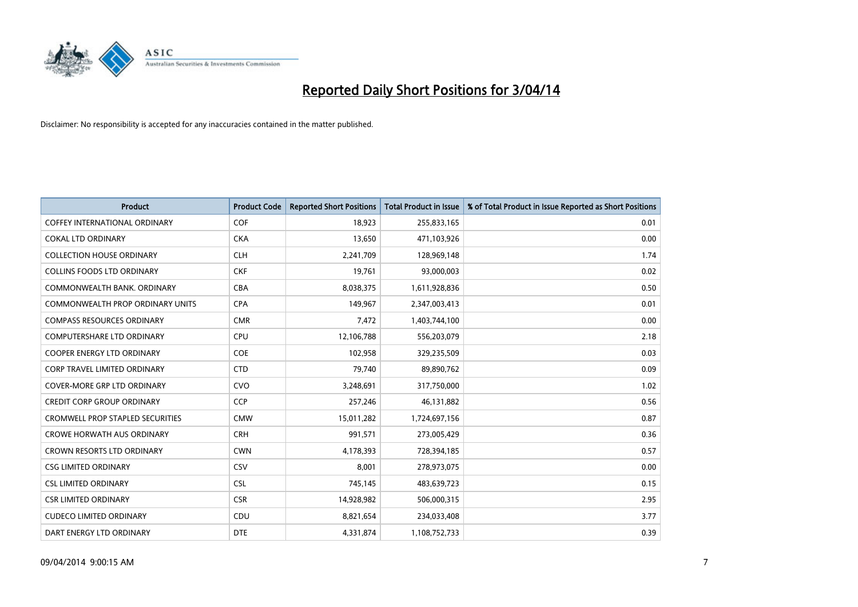

| <b>Product</b>                          | <b>Product Code</b> | <b>Reported Short Positions</b> | <b>Total Product in Issue</b> | % of Total Product in Issue Reported as Short Positions |
|-----------------------------------------|---------------------|---------------------------------|-------------------------------|---------------------------------------------------------|
| <b>COFFEY INTERNATIONAL ORDINARY</b>    | <b>COF</b>          | 18,923                          | 255,833,165                   | 0.01                                                    |
| <b>COKAL LTD ORDINARY</b>               | <b>CKA</b>          | 13,650                          | 471,103,926                   | 0.00                                                    |
| <b>COLLECTION HOUSE ORDINARY</b>        | <b>CLH</b>          | 2,241,709                       | 128,969,148                   | 1.74                                                    |
| <b>COLLINS FOODS LTD ORDINARY</b>       | <b>CKF</b>          | 19,761                          | 93,000,003                    | 0.02                                                    |
| COMMONWEALTH BANK, ORDINARY             | <b>CBA</b>          | 8,038,375                       | 1,611,928,836                 | 0.50                                                    |
| COMMONWEALTH PROP ORDINARY UNITS        | <b>CPA</b>          | 149,967                         | 2,347,003,413                 | 0.01                                                    |
| <b>COMPASS RESOURCES ORDINARY</b>       | <b>CMR</b>          | 7,472                           | 1,403,744,100                 | 0.00                                                    |
| COMPUTERSHARE LTD ORDINARY              | <b>CPU</b>          | 12,106,788                      | 556,203,079                   | 2.18                                                    |
| <b>COOPER ENERGY LTD ORDINARY</b>       | <b>COE</b>          | 102,958                         | 329,235,509                   | 0.03                                                    |
| <b>CORP TRAVEL LIMITED ORDINARY</b>     | <b>CTD</b>          | 79,740                          | 89,890,762                    | 0.09                                                    |
| COVER-MORE GRP LTD ORDINARY             | <b>CVO</b>          | 3,248,691                       | 317,750,000                   | 1.02                                                    |
| <b>CREDIT CORP GROUP ORDINARY</b>       | <b>CCP</b>          | 257,246                         | 46,131,882                    | 0.56                                                    |
| <b>CROMWELL PROP STAPLED SECURITIES</b> | <b>CMW</b>          | 15,011,282                      | 1,724,697,156                 | 0.87                                                    |
| <b>CROWE HORWATH AUS ORDINARY</b>       | <b>CRH</b>          | 991,571                         | 273,005,429                   | 0.36                                                    |
| <b>CROWN RESORTS LTD ORDINARY</b>       | <b>CWN</b>          | 4,178,393                       | 728,394,185                   | 0.57                                                    |
| <b>CSG LIMITED ORDINARY</b>             | CSV                 | 8,001                           | 278,973,075                   | 0.00                                                    |
| <b>CSL LIMITED ORDINARY</b>             | <b>CSL</b>          | 745,145                         | 483,639,723                   | 0.15                                                    |
| <b>CSR LIMITED ORDINARY</b>             | <b>CSR</b>          | 14,928,982                      | 506,000,315                   | 2.95                                                    |
| <b>CUDECO LIMITED ORDINARY</b>          | CDU                 | 8,821,654                       | 234,033,408                   | 3.77                                                    |
| DART ENERGY LTD ORDINARY                | <b>DTE</b>          | 4,331,874                       | 1,108,752,733                 | 0.39                                                    |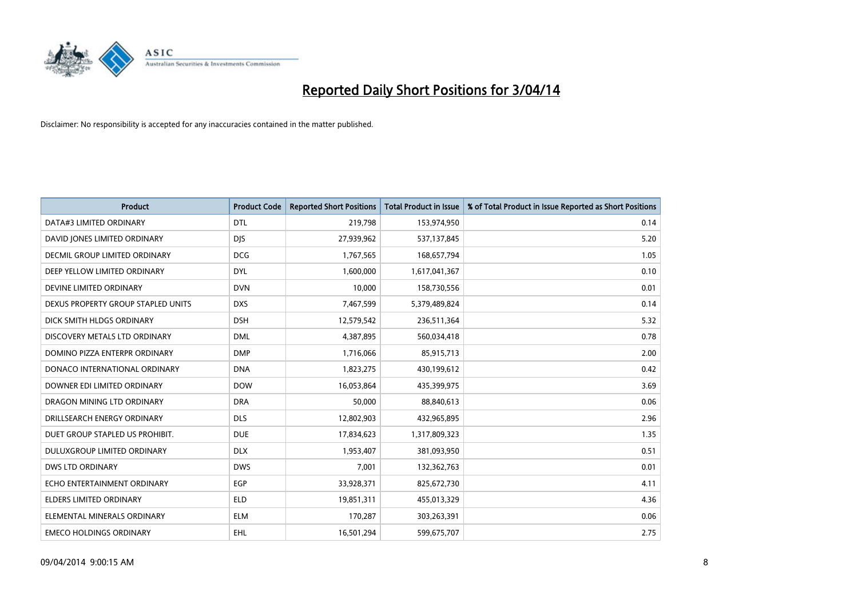

| <b>Product</b>                     | <b>Product Code</b> | <b>Reported Short Positions</b> | <b>Total Product in Issue</b> | % of Total Product in Issue Reported as Short Positions |
|------------------------------------|---------------------|---------------------------------|-------------------------------|---------------------------------------------------------|
| DATA#3 LIMITED ORDINARY            | <b>DTL</b>          | 219,798                         | 153,974,950                   | 0.14                                                    |
| DAVID JONES LIMITED ORDINARY       | <b>DIS</b>          | 27,939,962                      | 537,137,845                   | 5.20                                                    |
| DECMIL GROUP LIMITED ORDINARY      | <b>DCG</b>          | 1,767,565                       | 168,657,794                   | 1.05                                                    |
| DEEP YELLOW LIMITED ORDINARY       | <b>DYL</b>          | 1,600,000                       | 1,617,041,367                 | 0.10                                                    |
| DEVINE LIMITED ORDINARY            | <b>DVN</b>          | 10,000                          | 158,730,556                   | 0.01                                                    |
| DEXUS PROPERTY GROUP STAPLED UNITS | <b>DXS</b>          | 7,467,599                       | 5,379,489,824                 | 0.14                                                    |
| DICK SMITH HLDGS ORDINARY          | <b>DSH</b>          | 12,579,542                      | 236,511,364                   | 5.32                                                    |
| DISCOVERY METALS LTD ORDINARY      | <b>DML</b>          | 4,387,895                       | 560,034,418                   | 0.78                                                    |
| DOMINO PIZZA ENTERPR ORDINARY      | <b>DMP</b>          | 1,716,066                       | 85,915,713                    | 2.00                                                    |
| DONACO INTERNATIONAL ORDINARY      | <b>DNA</b>          | 1,823,275                       | 430,199,612                   | 0.42                                                    |
| DOWNER EDI LIMITED ORDINARY        | <b>DOW</b>          | 16,053,864                      | 435,399,975                   | 3.69                                                    |
| DRAGON MINING LTD ORDINARY         | <b>DRA</b>          | 50,000                          | 88,840,613                    | 0.06                                                    |
| DRILLSEARCH ENERGY ORDINARY        | <b>DLS</b>          | 12,802,903                      | 432,965,895                   | 2.96                                                    |
| DUET GROUP STAPLED US PROHIBIT.    | <b>DUE</b>          | 17,834,623                      | 1,317,809,323                 | 1.35                                                    |
| DULUXGROUP LIMITED ORDINARY        | <b>DLX</b>          | 1,953,407                       | 381,093,950                   | 0.51                                                    |
| DWS LTD ORDINARY                   | <b>DWS</b>          | 7,001                           | 132,362,763                   | 0.01                                                    |
| ECHO ENTERTAINMENT ORDINARY        | EGP                 | 33,928,371                      | 825,672,730                   | 4.11                                                    |
| <b>ELDERS LIMITED ORDINARY</b>     | <b>ELD</b>          | 19,851,311                      | 455,013,329                   | 4.36                                                    |
| ELEMENTAL MINERALS ORDINARY        | <b>ELM</b>          | 170,287                         | 303,263,391                   | 0.06                                                    |
| <b>EMECO HOLDINGS ORDINARY</b>     | <b>EHL</b>          | 16,501,294                      | 599,675,707                   | 2.75                                                    |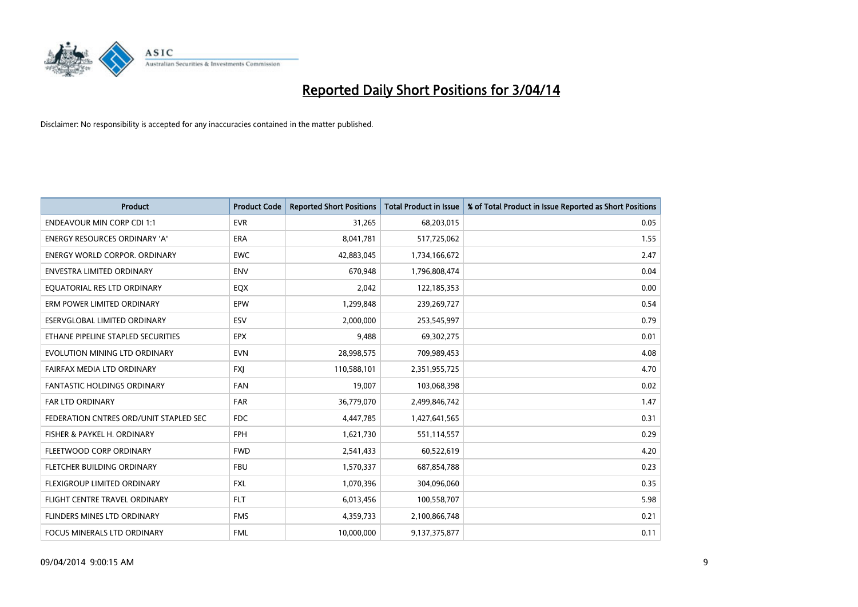

| <b>Product</b>                         | <b>Product Code</b> | <b>Reported Short Positions</b> | <b>Total Product in Issue</b> | % of Total Product in Issue Reported as Short Positions |
|----------------------------------------|---------------------|---------------------------------|-------------------------------|---------------------------------------------------------|
| <b>ENDEAVOUR MIN CORP CDI 1:1</b>      | <b>EVR</b>          | 31,265                          | 68,203,015                    | 0.05                                                    |
| ENERGY RESOURCES ORDINARY 'A'          | ERA                 | 8,041,781                       | 517,725,062                   | 1.55                                                    |
| <b>ENERGY WORLD CORPOR, ORDINARY</b>   | <b>EWC</b>          | 42,883,045                      | 1,734,166,672                 | 2.47                                                    |
| ENVESTRA LIMITED ORDINARY              | <b>ENV</b>          | 670,948                         | 1,796,808,474                 | 0.04                                                    |
| EQUATORIAL RES LTD ORDINARY            | EQX                 | 2,042                           | 122,185,353                   | 0.00                                                    |
| ERM POWER LIMITED ORDINARY             | EPW                 | 1,299,848                       | 239,269,727                   | 0.54                                                    |
| ESERVGLOBAL LIMITED ORDINARY           | ESV                 | 2,000,000                       | 253,545,997                   | 0.79                                                    |
| ETHANE PIPELINE STAPLED SECURITIES     | <b>EPX</b>          | 9,488                           | 69,302,275                    | 0.01                                                    |
| EVOLUTION MINING LTD ORDINARY          | <b>EVN</b>          | 28,998,575                      | 709,989,453                   | 4.08                                                    |
| FAIRFAX MEDIA LTD ORDINARY             | <b>FXI</b>          | 110,588,101                     | 2,351,955,725                 | 4.70                                                    |
| FANTASTIC HOLDINGS ORDINARY            | FAN                 | 19,007                          | 103,068,398                   | 0.02                                                    |
| <b>FAR LTD ORDINARY</b>                | <b>FAR</b>          | 36,779,070                      | 2,499,846,742                 | 1.47                                                    |
| FEDERATION CNTRES ORD/UNIT STAPLED SEC | FDC                 | 4,447,785                       | 1,427,641,565                 | 0.31                                                    |
| FISHER & PAYKEL H. ORDINARY            | FPH                 | 1,621,730                       | 551,114,557                   | 0.29                                                    |
| FLEETWOOD CORP ORDINARY                | <b>FWD</b>          | 2,541,433                       | 60,522,619                    | 4.20                                                    |
| FLETCHER BUILDING ORDINARY             | <b>FBU</b>          | 1,570,337                       | 687,854,788                   | 0.23                                                    |
| FLEXIGROUP LIMITED ORDINARY            | <b>FXL</b>          | 1,070,396                       | 304,096,060                   | 0.35                                                    |
| FLIGHT CENTRE TRAVEL ORDINARY          | <b>FLT</b>          | 6,013,456                       | 100,558,707                   | 5.98                                                    |
| FLINDERS MINES LTD ORDINARY            | <b>FMS</b>          | 4,359,733                       | 2,100,866,748                 | 0.21                                                    |
| FOCUS MINERALS LTD ORDINARY            | <b>FML</b>          | 10,000,000                      | 9,137,375,877                 | 0.11                                                    |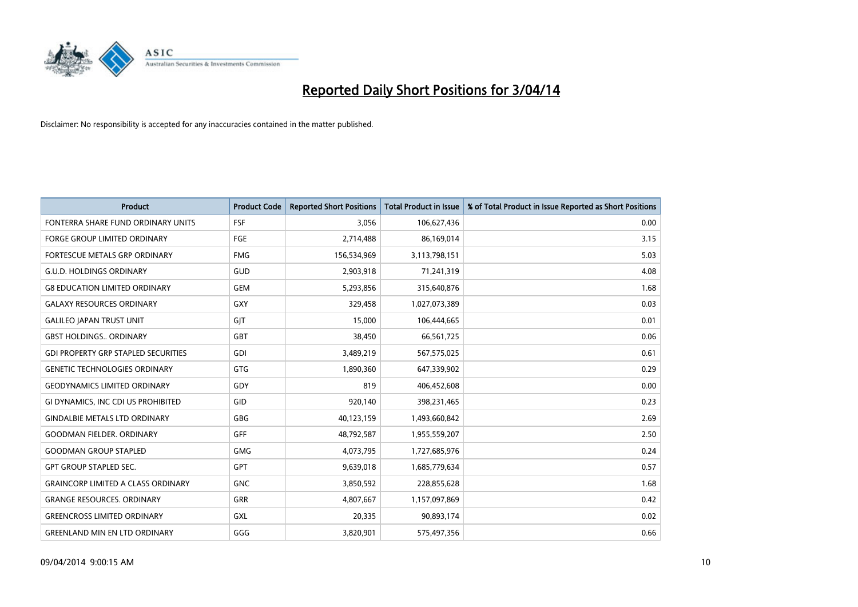

| <b>Product</b>                             | <b>Product Code</b> | <b>Reported Short Positions</b> | <b>Total Product in Issue</b> | % of Total Product in Issue Reported as Short Positions |
|--------------------------------------------|---------------------|---------------------------------|-------------------------------|---------------------------------------------------------|
| FONTERRA SHARE FUND ORDINARY UNITS         | <b>FSF</b>          | 3,056                           | 106,627,436                   | 0.00                                                    |
| FORGE GROUP LIMITED ORDINARY               | FGE                 | 2,714,488                       | 86,169,014                    | 3.15                                                    |
| <b>FORTESCUE METALS GRP ORDINARY</b>       | <b>FMG</b>          | 156,534,969                     | 3,113,798,151                 | 5.03                                                    |
| <b>G.U.D. HOLDINGS ORDINARY</b>            | GUD                 | 2,903,918                       | 71,241,319                    | 4.08                                                    |
| <b>G8 EDUCATION LIMITED ORDINARY</b>       | <b>GEM</b>          | 5,293,856                       | 315,640,876                   | 1.68                                                    |
| <b>GALAXY RESOURCES ORDINARY</b>           | <b>GXY</b>          | 329,458                         | 1,027,073,389                 | 0.03                                                    |
| <b>GALILEO JAPAN TRUST UNIT</b>            | GIT                 | 15,000                          | 106,444,665                   | 0.01                                                    |
| <b>GBST HOLDINGS ORDINARY</b>              | GBT                 | 38,450                          | 66,561,725                    | 0.06                                                    |
| <b>GDI PROPERTY GRP STAPLED SECURITIES</b> | GDI                 | 3,489,219                       | 567,575,025                   | 0.61                                                    |
| <b>GENETIC TECHNOLOGIES ORDINARY</b>       | GTG                 | 1,890,360                       | 647,339,902                   | 0.29                                                    |
| <b>GEODYNAMICS LIMITED ORDINARY</b>        | GDY                 | 819                             | 406,452,608                   | 0.00                                                    |
| GI DYNAMICS, INC CDI US PROHIBITED         | GID                 | 920,140                         | 398,231,465                   | 0.23                                                    |
| <b>GINDALBIE METALS LTD ORDINARY</b>       | GBG                 | 40,123,159                      | 1,493,660,842                 | 2.69                                                    |
| <b>GOODMAN FIELDER, ORDINARY</b>           | GFF                 | 48,792,587                      | 1,955,559,207                 | 2.50                                                    |
| <b>GOODMAN GROUP STAPLED</b>               | <b>GMG</b>          | 4,073,795                       | 1,727,685,976                 | 0.24                                                    |
| <b>GPT GROUP STAPLED SEC.</b>              | <b>GPT</b>          | 9,639,018                       | 1,685,779,634                 | 0.57                                                    |
| <b>GRAINCORP LIMITED A CLASS ORDINARY</b>  | <b>GNC</b>          | 3,850,592                       | 228,855,628                   | 1.68                                                    |
| <b>GRANGE RESOURCES. ORDINARY</b>          | GRR                 | 4,807,667                       | 1,157,097,869                 | 0.42                                                    |
| <b>GREENCROSS LIMITED ORDINARY</b>         | GXL                 | 20,335                          | 90,893,174                    | 0.02                                                    |
| <b>GREENLAND MIN EN LTD ORDINARY</b>       | GGG                 | 3,820,901                       | 575,497,356                   | 0.66                                                    |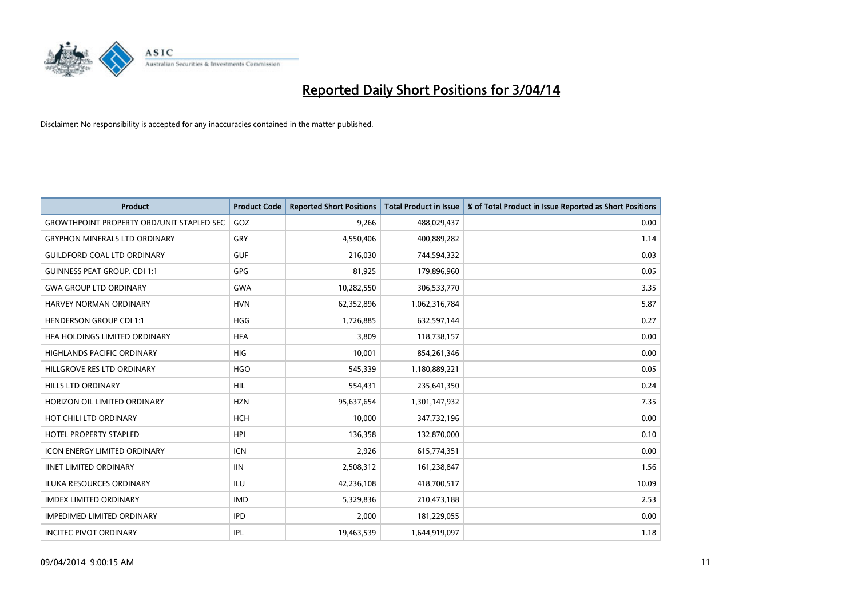

| <b>Product</b>                                   | <b>Product Code</b> | <b>Reported Short Positions</b> | <b>Total Product in Issue</b> | % of Total Product in Issue Reported as Short Positions |
|--------------------------------------------------|---------------------|---------------------------------|-------------------------------|---------------------------------------------------------|
| <b>GROWTHPOINT PROPERTY ORD/UNIT STAPLED SEC</b> | GOZ                 | 9,266                           | 488,029,437                   | 0.00                                                    |
| <b>GRYPHON MINERALS LTD ORDINARY</b>             | <b>GRY</b>          | 4,550,406                       | 400,889,282                   | 1.14                                                    |
| <b>GUILDFORD COAL LTD ORDINARY</b>               | <b>GUF</b>          | 216,030                         | 744,594,332                   | 0.03                                                    |
| <b>GUINNESS PEAT GROUP. CDI 1:1</b>              | GPG                 | 81,925                          | 179,896,960                   | 0.05                                                    |
| <b>GWA GROUP LTD ORDINARY</b>                    | <b>GWA</b>          | 10,282,550                      | 306,533,770                   | 3.35                                                    |
| HARVEY NORMAN ORDINARY                           | <b>HVN</b>          | 62,352,896                      | 1,062,316,784                 | 5.87                                                    |
| <b>HENDERSON GROUP CDI 1:1</b>                   | <b>HGG</b>          | 1,726,885                       | 632,597,144                   | 0.27                                                    |
| HFA HOLDINGS LIMITED ORDINARY                    | <b>HFA</b>          | 3.809                           | 118,738,157                   | 0.00                                                    |
| <b>HIGHLANDS PACIFIC ORDINARY</b>                | <b>HIG</b>          | 10,001                          | 854,261,346                   | 0.00                                                    |
| HILLGROVE RES LTD ORDINARY                       | <b>HGO</b>          | 545,339                         | 1,180,889,221                 | 0.05                                                    |
| HILLS LTD ORDINARY                               | <b>HIL</b>          | 554,431                         | 235,641,350                   | 0.24                                                    |
| HORIZON OIL LIMITED ORDINARY                     | <b>HZN</b>          | 95,637,654                      | 1,301,147,932                 | 7.35                                                    |
| HOT CHILI LTD ORDINARY                           | <b>HCH</b>          | 10,000                          | 347,732,196                   | 0.00                                                    |
| HOTEL PROPERTY STAPLED                           | <b>HPI</b>          | 136,358                         | 132,870,000                   | 0.10                                                    |
| <b>ICON ENERGY LIMITED ORDINARY</b>              | <b>ICN</b>          | 2,926                           | 615,774,351                   | 0.00                                                    |
| <b>IINET LIMITED ORDINARY</b>                    | <b>IIN</b>          | 2,508,312                       | 161,238,847                   | 1.56                                                    |
| ILUKA RESOURCES ORDINARY                         | ILU                 | 42,236,108                      | 418,700,517                   | 10.09                                                   |
| <b>IMDEX LIMITED ORDINARY</b>                    | <b>IMD</b>          | 5,329,836                       | 210,473,188                   | 2.53                                                    |
| <b>IMPEDIMED LIMITED ORDINARY</b>                | <b>IPD</b>          | 2,000                           | 181,229,055                   | 0.00                                                    |
| <b>INCITEC PIVOT ORDINARY</b>                    | <b>IPL</b>          | 19,463,539                      | 1,644,919,097                 | 1.18                                                    |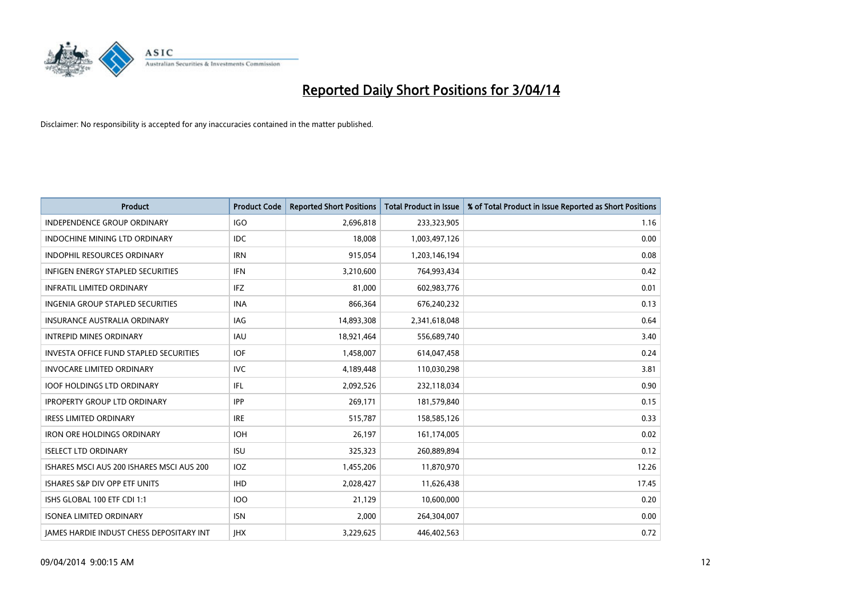

| <b>Product</b>                                  | <b>Product Code</b> | <b>Reported Short Positions</b> | <b>Total Product in Issue</b> | % of Total Product in Issue Reported as Short Positions |
|-------------------------------------------------|---------------------|---------------------------------|-------------------------------|---------------------------------------------------------|
| <b>INDEPENDENCE GROUP ORDINARY</b>              | <b>IGO</b>          | 2,696,818                       | 233,323,905                   | 1.16                                                    |
| INDOCHINE MINING LTD ORDINARY                   | IDC                 | 18,008                          | 1,003,497,126                 | 0.00                                                    |
| <b>INDOPHIL RESOURCES ORDINARY</b>              | <b>IRN</b>          | 915,054                         | 1,203,146,194                 | 0.08                                                    |
| INFIGEN ENERGY STAPLED SECURITIES               | <b>IFN</b>          | 3,210,600                       | 764,993,434                   | 0.42                                                    |
| <b>INFRATIL LIMITED ORDINARY</b>                | <b>IFZ</b>          | 81,000                          | 602,983,776                   | 0.01                                                    |
| INGENIA GROUP STAPLED SECURITIES                | <b>INA</b>          | 866,364                         | 676,240,232                   | 0.13                                                    |
| <b>INSURANCE AUSTRALIA ORDINARY</b>             | IAG                 | 14,893,308                      | 2,341,618,048                 | 0.64                                                    |
| <b>INTREPID MINES ORDINARY</b>                  | <b>IAU</b>          | 18,921,464                      | 556,689,740                   | 3.40                                                    |
| <b>INVESTA OFFICE FUND STAPLED SECURITIES</b>   | <b>IOF</b>          | 1,458,007                       | 614,047,458                   | 0.24                                                    |
| <b>INVOCARE LIMITED ORDINARY</b>                | IVC                 | 4,189,448                       | 110,030,298                   | 3.81                                                    |
| <b>IOOF HOLDINGS LTD ORDINARY</b>               | IFL                 | 2,092,526                       | 232,118,034                   | 0.90                                                    |
| <b>IPROPERTY GROUP LTD ORDINARY</b>             | IPP                 | 269,171                         | 181,579,840                   | 0.15                                                    |
| <b>IRESS LIMITED ORDINARY</b>                   | <b>IRE</b>          | 515,787                         | 158,585,126                   | 0.33                                                    |
| <b>IRON ORE HOLDINGS ORDINARY</b>               | <b>IOH</b>          | 26,197                          | 161,174,005                   | 0.02                                                    |
| <b>ISELECT LTD ORDINARY</b>                     | <b>ISU</b>          | 325,323                         | 260,889,894                   | 0.12                                                    |
| ISHARES MSCI AUS 200 ISHARES MSCI AUS 200       | IOZ                 | 1,455,206                       | 11,870,970                    | 12.26                                                   |
| ISHARES S&P DIV OPP ETF UNITS                   | <b>IHD</b>          | 2,028,427                       | 11,626,438                    | 17.45                                                   |
| ISHS GLOBAL 100 ETF CDI 1:1                     | 100                 | 21,129                          | 10,600,000                    | 0.20                                                    |
| <b>ISONEA LIMITED ORDINARY</b>                  | <b>ISN</b>          | 2,000                           | 264,304,007                   | 0.00                                                    |
| <b>IAMES HARDIE INDUST CHESS DEPOSITARY INT</b> | <b>IHX</b>          | 3,229,625                       | 446,402,563                   | 0.72                                                    |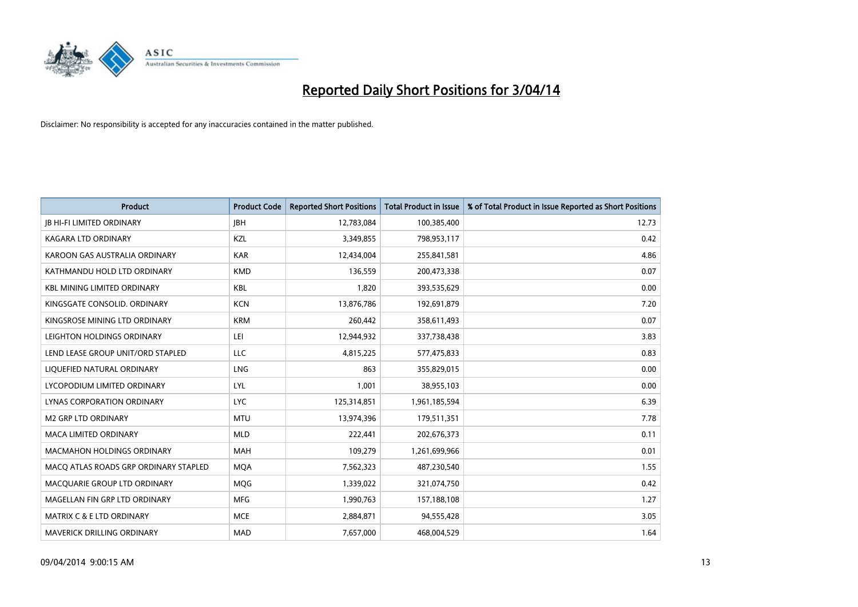

| <b>Product</b>                        | <b>Product Code</b> | <b>Reported Short Positions</b> | <b>Total Product in Issue</b> | % of Total Product in Issue Reported as Short Positions |
|---------------------------------------|---------------------|---------------------------------|-------------------------------|---------------------------------------------------------|
| <b>JB HI-FI LIMITED ORDINARY</b>      | <b>JBH</b>          | 12,783,084                      | 100,385,400                   | 12.73                                                   |
| KAGARA LTD ORDINARY                   | KZL                 | 3,349,855                       | 798,953,117                   | 0.42                                                    |
| KAROON GAS AUSTRALIA ORDINARY         | <b>KAR</b>          | 12,434,004                      | 255,841,581                   | 4.86                                                    |
| KATHMANDU HOLD LTD ORDINARY           | <b>KMD</b>          | 136,559                         | 200,473,338                   | 0.07                                                    |
| <b>KBL MINING LIMITED ORDINARY</b>    | <b>KBL</b>          | 1,820                           | 393,535,629                   | 0.00                                                    |
| KINGSGATE CONSOLID, ORDINARY          | <b>KCN</b>          | 13,876,786                      | 192,691,879                   | 7.20                                                    |
| KINGSROSE MINING LTD ORDINARY         | <b>KRM</b>          | 260,442                         | 358,611,493                   | 0.07                                                    |
| LEIGHTON HOLDINGS ORDINARY            | LEI                 | 12,944,932                      | 337,738,438                   | 3.83                                                    |
| LEND LEASE GROUP UNIT/ORD STAPLED     | <b>LLC</b>          | 4,815,225                       | 577,475,833                   | 0.83                                                    |
| LIQUEFIED NATURAL ORDINARY            | LNG                 | 863                             | 355,829,015                   | 0.00                                                    |
| LYCOPODIUM LIMITED ORDINARY           | <b>LYL</b>          | 1,001                           | 38,955,103                    | 0.00                                                    |
| <b>LYNAS CORPORATION ORDINARY</b>     | <b>LYC</b>          | 125,314,851                     | 1,961,185,594                 | 6.39                                                    |
| <b>M2 GRP LTD ORDINARY</b>            | <b>MTU</b>          | 13,974,396                      | 179,511,351                   | 7.78                                                    |
| <b>MACA LIMITED ORDINARY</b>          | <b>MLD</b>          | 222,441                         | 202,676,373                   | 0.11                                                    |
| <b>MACMAHON HOLDINGS ORDINARY</b>     | <b>MAH</b>          | 109,279                         | 1,261,699,966                 | 0.01                                                    |
| MACO ATLAS ROADS GRP ORDINARY STAPLED | <b>MOA</b>          | 7,562,323                       | 487,230,540                   | 1.55                                                    |
| MACQUARIE GROUP LTD ORDINARY          | MQG                 | 1,339,022                       | 321,074,750                   | 0.42                                                    |
| MAGELLAN FIN GRP LTD ORDINARY         | <b>MFG</b>          | 1,990,763                       | 157,188,108                   | 1.27                                                    |
| MATRIX C & E LTD ORDINARY             | <b>MCE</b>          | 2,884,871                       | 94,555,428                    | 3.05                                                    |
| MAVERICK DRILLING ORDINARY            | <b>MAD</b>          | 7,657,000                       | 468,004,529                   | 1.64                                                    |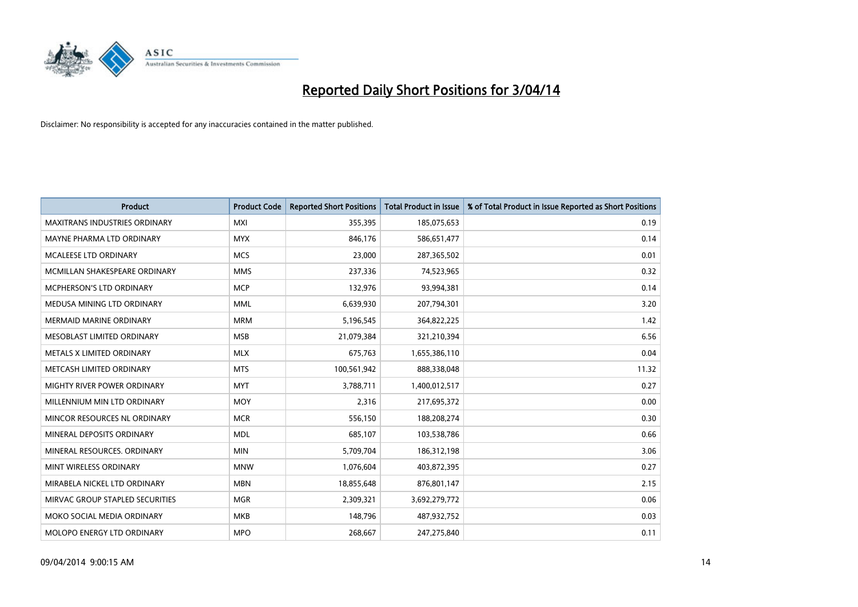

| <b>Product</b>                       | <b>Product Code</b> | <b>Reported Short Positions</b> | <b>Total Product in Issue</b> | % of Total Product in Issue Reported as Short Positions |
|--------------------------------------|---------------------|---------------------------------|-------------------------------|---------------------------------------------------------|
| <b>MAXITRANS INDUSTRIES ORDINARY</b> | <b>MXI</b>          | 355,395                         | 185,075,653                   | 0.19                                                    |
| MAYNE PHARMA LTD ORDINARY            | <b>MYX</b>          | 846,176                         | 586,651,477                   | 0.14                                                    |
| <b>MCALEESE LTD ORDINARY</b>         | <b>MCS</b>          | 23,000                          | 287,365,502                   | 0.01                                                    |
| MCMILLAN SHAKESPEARE ORDINARY        | <b>MMS</b>          | 237,336                         | 74,523,965                    | 0.32                                                    |
| <b>MCPHERSON'S LTD ORDINARY</b>      | <b>MCP</b>          | 132,976                         | 93,994,381                    | 0.14                                                    |
| MEDUSA MINING LTD ORDINARY           | <b>MML</b>          | 6,639,930                       | 207,794,301                   | 3.20                                                    |
| <b>MERMAID MARINE ORDINARY</b>       | <b>MRM</b>          | 5,196,545                       | 364,822,225                   | 1.42                                                    |
| MESOBLAST LIMITED ORDINARY           | <b>MSB</b>          | 21,079,384                      | 321,210,394                   | 6.56                                                    |
| METALS X LIMITED ORDINARY            | <b>MLX</b>          | 675,763                         | 1,655,386,110                 | 0.04                                                    |
| METCASH LIMITED ORDINARY             | <b>MTS</b>          | 100,561,942                     | 888,338,048                   | 11.32                                                   |
| MIGHTY RIVER POWER ORDINARY          | <b>MYT</b>          | 3,788,711                       | 1,400,012,517                 | 0.27                                                    |
| MILLENNIUM MIN LTD ORDINARY          | <b>MOY</b>          | 2,316                           | 217,695,372                   | 0.00                                                    |
| MINCOR RESOURCES NL ORDINARY         | <b>MCR</b>          | 556,150                         | 188,208,274                   | 0.30                                                    |
| MINERAL DEPOSITS ORDINARY            | <b>MDL</b>          | 685,107                         | 103,538,786                   | 0.66                                                    |
| MINERAL RESOURCES, ORDINARY          | <b>MIN</b>          | 5,709,704                       | 186,312,198                   | 3.06                                                    |
| MINT WIRELESS ORDINARY               | <b>MNW</b>          | 1,076,604                       | 403,872,395                   | 0.27                                                    |
| MIRABELA NICKEL LTD ORDINARY         | <b>MBN</b>          | 18,855,648                      | 876,801,147                   | 2.15                                                    |
| MIRVAC GROUP STAPLED SECURITIES      | <b>MGR</b>          | 2,309,321                       | 3,692,279,772                 | 0.06                                                    |
| MOKO SOCIAL MEDIA ORDINARY           | <b>MKB</b>          | 148,796                         | 487,932,752                   | 0.03                                                    |
| MOLOPO ENERGY LTD ORDINARY           | <b>MPO</b>          | 268,667                         | 247,275,840                   | 0.11                                                    |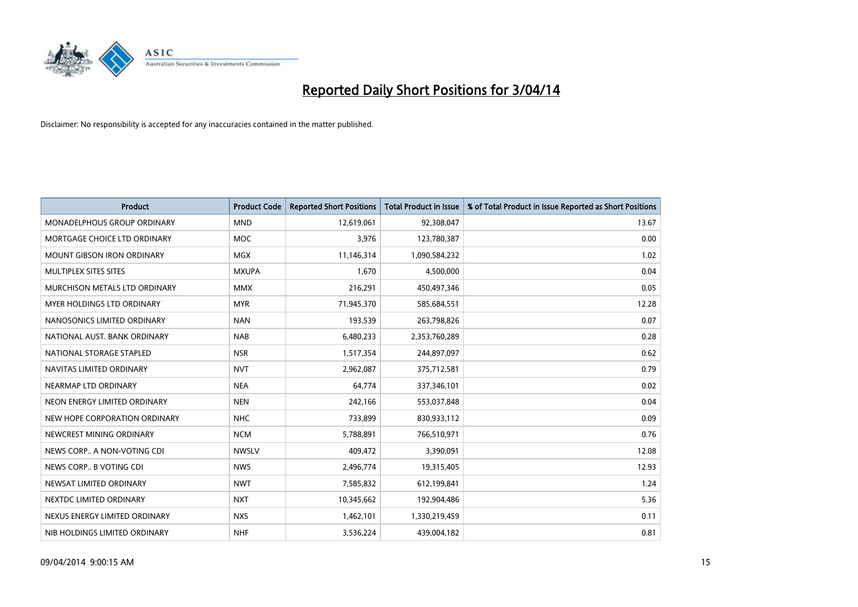

| <b>Product</b>                    | <b>Product Code</b> | <b>Reported Short Positions</b> | <b>Total Product in Issue</b> | % of Total Product in Issue Reported as Short Positions |
|-----------------------------------|---------------------|---------------------------------|-------------------------------|---------------------------------------------------------|
| MONADELPHOUS GROUP ORDINARY       | <b>MND</b>          | 12,619,061                      | 92,308,047                    | 13.67                                                   |
| MORTGAGE CHOICE LTD ORDINARY      | MOC                 | 3,976                           | 123,780,387                   | 0.00                                                    |
| <b>MOUNT GIBSON IRON ORDINARY</b> | <b>MGX</b>          | 11,146,314                      | 1,090,584,232                 | 1.02                                                    |
| MULTIPLEX SITES SITES             | <b>MXUPA</b>        | 1,670                           | 4,500,000                     | 0.04                                                    |
| MURCHISON METALS LTD ORDINARY     | <b>MMX</b>          | 216,291                         | 450,497,346                   | 0.05                                                    |
| MYER HOLDINGS LTD ORDINARY        | <b>MYR</b>          | 71,945,370                      | 585,684,551                   | 12.28                                                   |
| NANOSONICS LIMITED ORDINARY       | <b>NAN</b>          | 193,539                         | 263,798,826                   | 0.07                                                    |
| NATIONAL AUST, BANK ORDINARY      | <b>NAB</b>          | 6,480,233                       | 2,353,760,289                 | 0.28                                                    |
| NATIONAL STORAGE STAPLED          | <b>NSR</b>          | 1,517,354                       | 244,897,097                   | 0.62                                                    |
| NAVITAS LIMITED ORDINARY          | <b>NVT</b>          | 2,962,087                       | 375,712,581                   | 0.79                                                    |
| NEARMAP LTD ORDINARY              | <b>NEA</b>          | 64,774                          | 337,346,101                   | 0.02                                                    |
| NEON ENERGY LIMITED ORDINARY      | <b>NEN</b>          | 242,166                         | 553,037,848                   | 0.04                                                    |
| NEW HOPE CORPORATION ORDINARY     | <b>NHC</b>          | 733,899                         | 830,933,112                   | 0.09                                                    |
| NEWCREST MINING ORDINARY          | <b>NCM</b>          | 5,788,891                       | 766,510,971                   | 0.76                                                    |
| NEWS CORP A NON-VOTING CDI        | <b>NWSLV</b>        | 409,472                         | 3,390,091                     | 12.08                                                   |
| NEWS CORP B VOTING CDI            | <b>NWS</b>          | 2,496,774                       | 19,315,405                    | 12.93                                                   |
| NEWSAT LIMITED ORDINARY           | <b>NWT</b>          | 7,585,832                       | 612,199,841                   | 1.24                                                    |
| NEXTDC LIMITED ORDINARY           | <b>NXT</b>          | 10,345,662                      | 192,904,486                   | 5.36                                                    |
| NEXUS ENERGY LIMITED ORDINARY     | <b>NXS</b>          | 1,462,101                       | 1,330,219,459                 | 0.11                                                    |
| NIB HOLDINGS LIMITED ORDINARY     | <b>NHF</b>          | 3,536,224                       | 439,004,182                   | 0.81                                                    |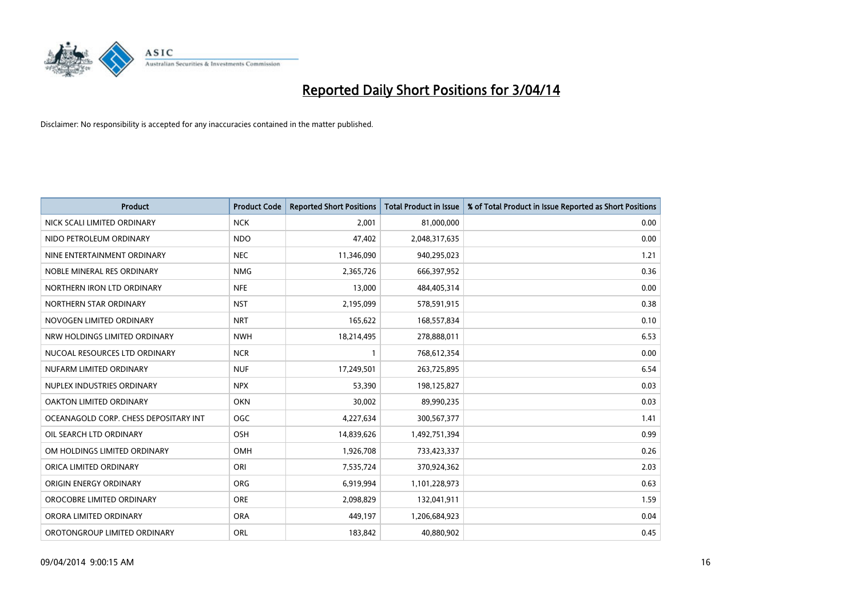

| <b>Product</b>                        | <b>Product Code</b> | <b>Reported Short Positions</b> | <b>Total Product in Issue</b> | % of Total Product in Issue Reported as Short Positions |
|---------------------------------------|---------------------|---------------------------------|-------------------------------|---------------------------------------------------------|
| NICK SCALI LIMITED ORDINARY           | <b>NCK</b>          | 2,001                           | 81,000,000                    | 0.00                                                    |
| NIDO PETROLEUM ORDINARY               | <b>NDO</b>          | 47,402                          | 2,048,317,635                 | 0.00                                                    |
| NINE ENTERTAINMENT ORDINARY           | <b>NEC</b>          | 11,346,090                      | 940,295,023                   | 1.21                                                    |
| NOBLE MINERAL RES ORDINARY            | <b>NMG</b>          | 2,365,726                       | 666,397,952                   | 0.36                                                    |
| NORTHERN IRON LTD ORDINARY            | <b>NFE</b>          | 13,000                          | 484,405,314                   | 0.00                                                    |
| NORTHERN STAR ORDINARY                | <b>NST</b>          | 2,195,099                       | 578,591,915                   | 0.38                                                    |
| NOVOGEN LIMITED ORDINARY              | <b>NRT</b>          | 165,622                         | 168,557,834                   | 0.10                                                    |
| NRW HOLDINGS LIMITED ORDINARY         | <b>NWH</b>          | 18,214,495                      | 278,888,011                   | 6.53                                                    |
| NUCOAL RESOURCES LTD ORDINARY         | <b>NCR</b>          | 1                               | 768,612,354                   | 0.00                                                    |
| NUFARM LIMITED ORDINARY               | <b>NUF</b>          | 17,249,501                      | 263,725,895                   | 6.54                                                    |
| NUPLEX INDUSTRIES ORDINARY            | <b>NPX</b>          | 53,390                          | 198,125,827                   | 0.03                                                    |
| OAKTON LIMITED ORDINARY               | <b>OKN</b>          | 30,002                          | 89,990,235                    | 0.03                                                    |
| OCEANAGOLD CORP. CHESS DEPOSITARY INT | <b>OGC</b>          | 4,227,634                       | 300,567,377                   | 1.41                                                    |
| OIL SEARCH LTD ORDINARY               | <b>OSH</b>          | 14,839,626                      | 1,492,751,394                 | 0.99                                                    |
| OM HOLDINGS LIMITED ORDINARY          | OMH                 | 1,926,708                       | 733,423,337                   | 0.26                                                    |
| ORICA LIMITED ORDINARY                | ORI                 | 7,535,724                       | 370,924,362                   | 2.03                                                    |
| ORIGIN ENERGY ORDINARY                | ORG                 | 6,919,994                       | 1,101,228,973                 | 0.63                                                    |
| OROCOBRE LIMITED ORDINARY             | <b>ORE</b>          | 2,098,829                       | 132,041,911                   | 1.59                                                    |
| ORORA LIMITED ORDINARY                | <b>ORA</b>          | 449,197                         | 1,206,684,923                 | 0.04                                                    |
| OROTONGROUP LIMITED ORDINARY          | ORL                 | 183,842                         | 40,880,902                    | 0.45                                                    |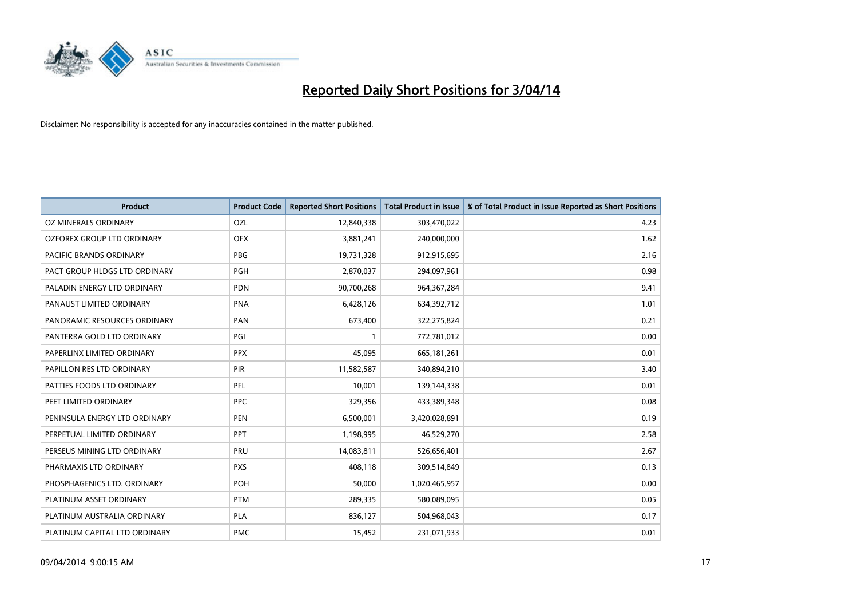

| <b>Product</b>                | <b>Product Code</b> | <b>Reported Short Positions</b> | <b>Total Product in Issue</b> | % of Total Product in Issue Reported as Short Positions |
|-------------------------------|---------------------|---------------------------------|-------------------------------|---------------------------------------------------------|
| <b>OZ MINERALS ORDINARY</b>   | OZL                 | 12,840,338                      | 303,470,022                   | 4.23                                                    |
| OZFOREX GROUP LTD ORDINARY    | <b>OFX</b>          | 3,881,241                       | 240,000,000                   | 1.62                                                    |
| PACIFIC BRANDS ORDINARY       | <b>PBG</b>          | 19,731,328                      | 912,915,695                   | 2.16                                                    |
| PACT GROUP HLDGS LTD ORDINARY | <b>PGH</b>          | 2,870,037                       | 294,097,961                   | 0.98                                                    |
| PALADIN ENERGY LTD ORDINARY   | <b>PDN</b>          | 90,700,268                      | 964, 367, 284                 | 9.41                                                    |
| PANAUST LIMITED ORDINARY      | <b>PNA</b>          | 6,428,126                       | 634,392,712                   | 1.01                                                    |
| PANORAMIC RESOURCES ORDINARY  | PAN                 | 673,400                         | 322,275,824                   | 0.21                                                    |
| PANTERRA GOLD LTD ORDINARY    | PGI                 | $\mathbf{1}$                    | 772,781,012                   | 0.00                                                    |
| PAPERLINX LIMITED ORDINARY    | <b>PPX</b>          | 45,095                          | 665, 181, 261                 | 0.01                                                    |
| PAPILLON RES LTD ORDINARY     | PIR                 | 11,582,587                      | 340,894,210                   | 3.40                                                    |
| PATTIES FOODS LTD ORDINARY    | PFL                 | 10,001                          | 139,144,338                   | 0.01                                                    |
| PEET LIMITED ORDINARY         | <b>PPC</b>          | 329,356                         | 433,389,348                   | 0.08                                                    |
| PENINSULA ENERGY LTD ORDINARY | <b>PEN</b>          | 6,500,001                       | 3,420,028,891                 | 0.19                                                    |
| PERPETUAL LIMITED ORDINARY    | <b>PPT</b>          | 1,198,995                       | 46,529,270                    | 2.58                                                    |
| PERSEUS MINING LTD ORDINARY   | PRU                 | 14,083,811                      | 526,656,401                   | 2.67                                                    |
| PHARMAXIS LTD ORDINARY        | <b>PXS</b>          | 408,118                         | 309,514,849                   | 0.13                                                    |
| PHOSPHAGENICS LTD. ORDINARY   | POH                 | 50,000                          | 1,020,465,957                 | 0.00                                                    |
| PLATINUM ASSET ORDINARY       | <b>PTM</b>          | 289,335                         | 580,089,095                   | 0.05                                                    |
| PLATINUM AUSTRALIA ORDINARY   | <b>PLA</b>          | 836,127                         | 504,968,043                   | 0.17                                                    |
| PLATINUM CAPITAL LTD ORDINARY | <b>PMC</b>          | 15,452                          | 231,071,933                   | 0.01                                                    |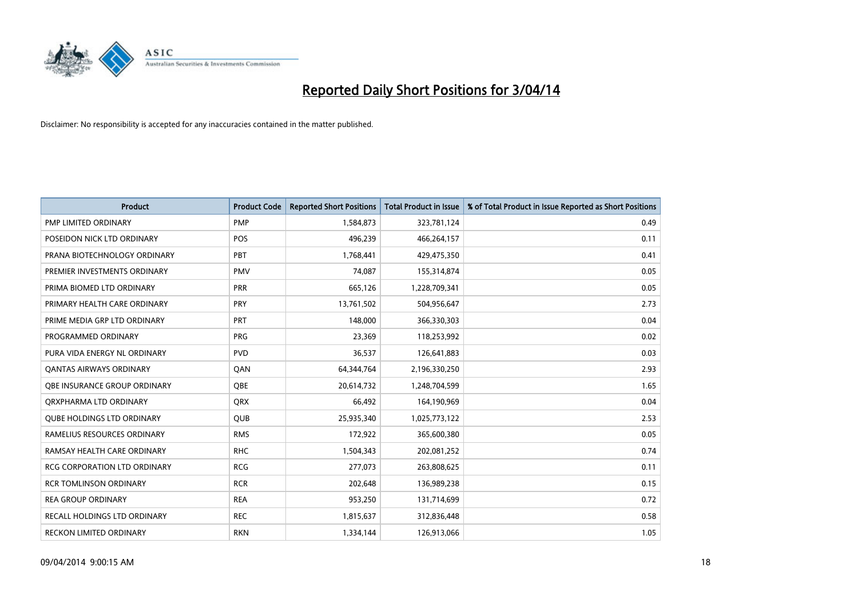

| <b>Product</b>                      | <b>Product Code</b> | <b>Reported Short Positions</b> | <b>Total Product in Issue</b> | % of Total Product in Issue Reported as Short Positions |
|-------------------------------------|---------------------|---------------------------------|-------------------------------|---------------------------------------------------------|
| PMP LIMITED ORDINARY                | <b>PMP</b>          | 1,584,873                       | 323,781,124                   | 0.49                                                    |
| POSEIDON NICK LTD ORDINARY          | <b>POS</b>          | 496,239                         | 466,264,157                   | 0.11                                                    |
| PRANA BIOTECHNOLOGY ORDINARY        | PBT                 | 1,768,441                       | 429,475,350                   | 0.41                                                    |
| PREMIER INVESTMENTS ORDINARY        | <b>PMV</b>          | 74,087                          | 155,314,874                   | 0.05                                                    |
| PRIMA BIOMED LTD ORDINARY           | <b>PRR</b>          | 665,126                         | 1,228,709,341                 | 0.05                                                    |
| PRIMARY HEALTH CARE ORDINARY        | PRY                 | 13,761,502                      | 504,956,647                   | 2.73                                                    |
| PRIME MEDIA GRP LTD ORDINARY        | <b>PRT</b>          | 148,000                         | 366,330,303                   | 0.04                                                    |
| PROGRAMMED ORDINARY                 | <b>PRG</b>          | 23,369                          | 118,253,992                   | 0.02                                                    |
| PURA VIDA ENERGY NL ORDINARY        | <b>PVD</b>          | 36,537                          | 126,641,883                   | 0.03                                                    |
| <b>QANTAS AIRWAYS ORDINARY</b>      | QAN                 | 64,344,764                      | 2,196,330,250                 | 2.93                                                    |
| OBE INSURANCE GROUP ORDINARY        | <b>OBE</b>          | 20,614,732                      | 1,248,704,599                 | 1.65                                                    |
| QRXPHARMA LTD ORDINARY              | QRX                 | 66,492                          | 164,190,969                   | 0.04                                                    |
| <b>QUBE HOLDINGS LTD ORDINARY</b>   | <b>QUB</b>          | 25,935,340                      | 1,025,773,122                 | 2.53                                                    |
| RAMELIUS RESOURCES ORDINARY         | <b>RMS</b>          | 172,922                         | 365,600,380                   | 0.05                                                    |
| RAMSAY HEALTH CARE ORDINARY         | <b>RHC</b>          | 1,504,343                       | 202,081,252                   | 0.74                                                    |
| RCG CORPORATION LTD ORDINARY        | <b>RCG</b>          | 277,073                         | 263,808,625                   | 0.11                                                    |
| <b>RCR TOMLINSON ORDINARY</b>       | <b>RCR</b>          | 202,648                         | 136,989,238                   | 0.15                                                    |
| <b>REA GROUP ORDINARY</b>           | <b>REA</b>          | 953,250                         | 131,714,699                   | 0.72                                                    |
| <b>RECALL HOLDINGS LTD ORDINARY</b> | <b>REC</b>          | 1,815,637                       | 312,836,448                   | 0.58                                                    |
| <b>RECKON LIMITED ORDINARY</b>      | <b>RKN</b>          | 1,334,144                       | 126,913,066                   | 1.05                                                    |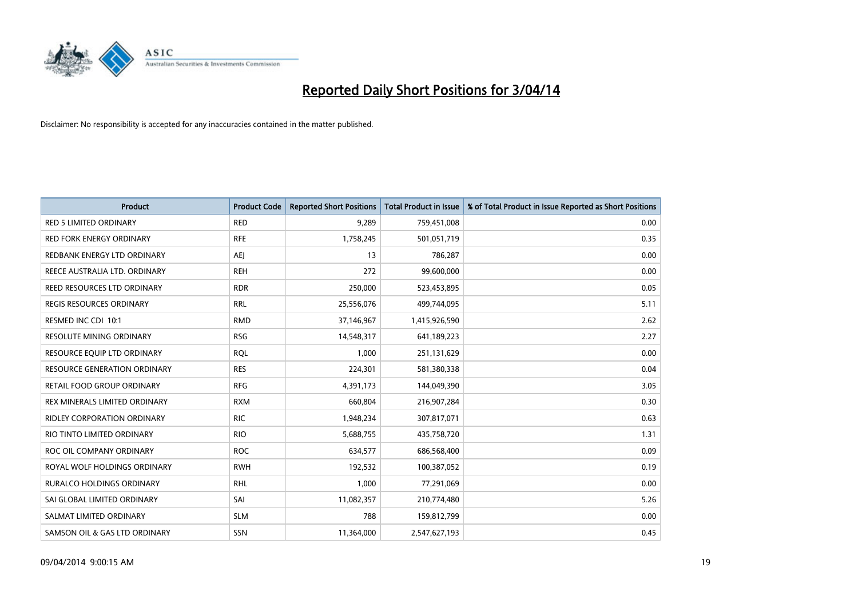

| <b>Product</b>                      | <b>Product Code</b> | <b>Reported Short Positions</b> | <b>Total Product in Issue</b> | % of Total Product in Issue Reported as Short Positions |
|-------------------------------------|---------------------|---------------------------------|-------------------------------|---------------------------------------------------------|
| <b>RED 5 LIMITED ORDINARY</b>       | <b>RED</b>          | 9,289                           | 759,451,008                   | 0.00                                                    |
| <b>RED FORK ENERGY ORDINARY</b>     | <b>RFE</b>          | 1,758,245                       | 501,051,719                   | 0.35                                                    |
| REDBANK ENERGY LTD ORDINARY         | AEJ                 | 13                              | 786,287                       | 0.00                                                    |
| REECE AUSTRALIA LTD. ORDINARY       | <b>REH</b>          | 272                             | 99,600,000                    | 0.00                                                    |
| REED RESOURCES LTD ORDINARY         | <b>RDR</b>          | 250,000                         | 523,453,895                   | 0.05                                                    |
| <b>REGIS RESOURCES ORDINARY</b>     | <b>RRL</b>          | 25,556,076                      | 499,744,095                   | 5.11                                                    |
| RESMED INC CDI 10:1                 | <b>RMD</b>          | 37,146,967                      | 1,415,926,590                 | 2.62                                                    |
| RESOLUTE MINING ORDINARY            | <b>RSG</b>          | 14,548,317                      | 641,189,223                   | 2.27                                                    |
| RESOURCE EQUIP LTD ORDINARY         | <b>RQL</b>          | 1.000                           | 251,131,629                   | 0.00                                                    |
| <b>RESOURCE GENERATION ORDINARY</b> | <b>RES</b>          | 224,301                         | 581,380,338                   | 0.04                                                    |
| RETAIL FOOD GROUP ORDINARY          | <b>RFG</b>          | 4,391,173                       | 144,049,390                   | 3.05                                                    |
| REX MINERALS LIMITED ORDINARY       | <b>RXM</b>          | 660,804                         | 216,907,284                   | 0.30                                                    |
| RIDLEY CORPORATION ORDINARY         | <b>RIC</b>          | 1,948,234                       | 307,817,071                   | 0.63                                                    |
| RIO TINTO LIMITED ORDINARY          | <b>RIO</b>          | 5,688,755                       | 435,758,720                   | 1.31                                                    |
| ROC OIL COMPANY ORDINARY            | <b>ROC</b>          | 634,577                         | 686,568,400                   | 0.09                                                    |
| ROYAL WOLF HOLDINGS ORDINARY        | <b>RWH</b>          | 192,532                         | 100,387,052                   | 0.19                                                    |
| RURALCO HOLDINGS ORDINARY           | <b>RHL</b>          | 1,000                           | 77,291,069                    | 0.00                                                    |
| SAI GLOBAL LIMITED ORDINARY         | SAI                 | 11,082,357                      | 210,774,480                   | 5.26                                                    |
| SALMAT LIMITED ORDINARY             | <b>SLM</b>          | 788                             | 159,812,799                   | 0.00                                                    |
| SAMSON OIL & GAS LTD ORDINARY       | SSN                 | 11,364,000                      | 2,547,627,193                 | 0.45                                                    |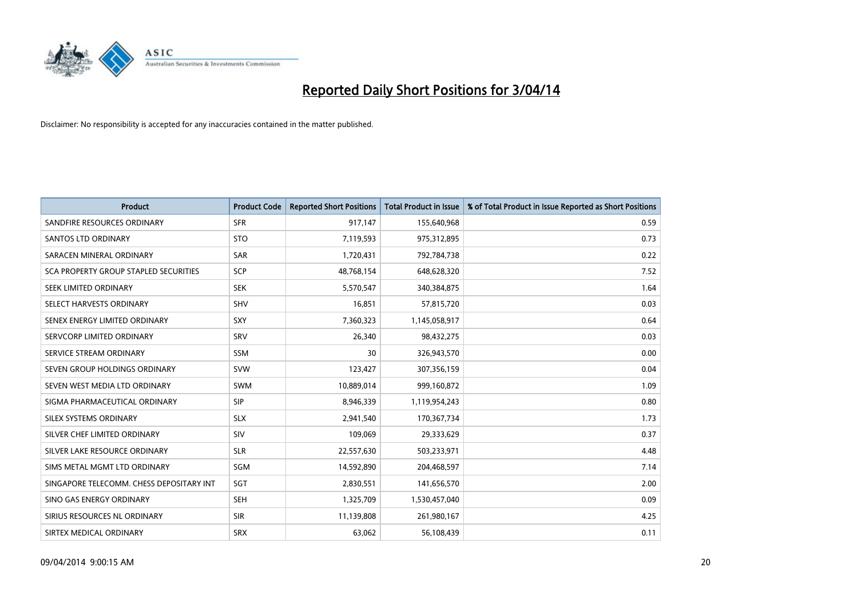

| <b>Product</b>                           | <b>Product Code</b> | <b>Reported Short Positions</b> | <b>Total Product in Issue</b> | % of Total Product in Issue Reported as Short Positions |
|------------------------------------------|---------------------|---------------------------------|-------------------------------|---------------------------------------------------------|
| SANDFIRE RESOURCES ORDINARY              | <b>SFR</b>          | 917,147                         | 155,640,968                   | 0.59                                                    |
| SANTOS LTD ORDINARY                      | <b>STO</b>          | 7,119,593                       | 975,312,895                   | 0.73                                                    |
| SARACEN MINERAL ORDINARY                 | <b>SAR</b>          | 1,720,431                       | 792,784,738                   | 0.22                                                    |
| SCA PROPERTY GROUP STAPLED SECURITIES    | <b>SCP</b>          | 48,768,154                      | 648,628,320                   | 7.52                                                    |
| SEEK LIMITED ORDINARY                    | <b>SEK</b>          | 5,570,547                       | 340,384,875                   | 1.64                                                    |
| SELECT HARVESTS ORDINARY                 | SHV                 | 16,851                          | 57,815,720                    | 0.03                                                    |
| SENEX ENERGY LIMITED ORDINARY            | <b>SXY</b>          | 7,360,323                       | 1,145,058,917                 | 0.64                                                    |
| SERVCORP LIMITED ORDINARY                | SRV                 | 26,340                          | 98,432,275                    | 0.03                                                    |
| SERVICE STREAM ORDINARY                  | <b>SSM</b>          | 30                              | 326,943,570                   | 0.00                                                    |
| SEVEN GROUP HOLDINGS ORDINARY            | <b>SVW</b>          | 123,427                         | 307,356,159                   | 0.04                                                    |
| SEVEN WEST MEDIA LTD ORDINARY            | <b>SWM</b>          | 10,889,014                      | 999,160,872                   | 1.09                                                    |
| SIGMA PHARMACEUTICAL ORDINARY            | <b>SIP</b>          | 8,946,339                       | 1,119,954,243                 | 0.80                                                    |
| SILEX SYSTEMS ORDINARY                   | <b>SLX</b>          | 2,941,540                       | 170,367,734                   | 1.73                                                    |
| SILVER CHEF LIMITED ORDINARY             | SIV                 | 109,069                         | 29,333,629                    | 0.37                                                    |
| SILVER LAKE RESOURCE ORDINARY            | <b>SLR</b>          | 22,557,630                      | 503,233,971                   | 4.48                                                    |
| SIMS METAL MGMT LTD ORDINARY             | SGM                 | 14,592,890                      | 204,468,597                   | 7.14                                                    |
| SINGAPORE TELECOMM. CHESS DEPOSITARY INT | SGT                 | 2,830,551                       | 141,656,570                   | 2.00                                                    |
| SINO GAS ENERGY ORDINARY                 | <b>SEH</b>          | 1,325,709                       | 1,530,457,040                 | 0.09                                                    |
| SIRIUS RESOURCES NL ORDINARY             | <b>SIR</b>          | 11,139,808                      | 261,980,167                   | 4.25                                                    |
| SIRTEX MEDICAL ORDINARY                  | <b>SRX</b>          | 63,062                          | 56,108,439                    | 0.11                                                    |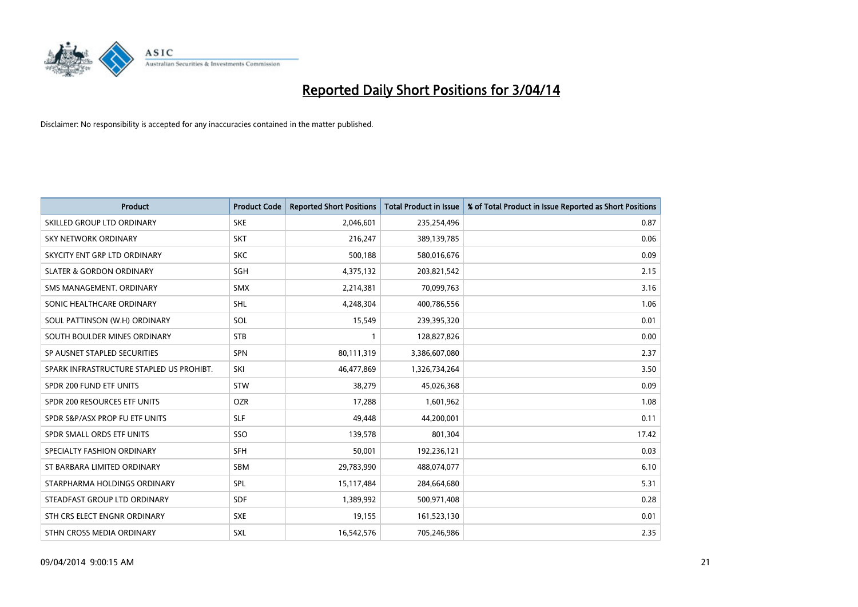

| <b>Product</b>                           | <b>Product Code</b> | <b>Reported Short Positions</b> | <b>Total Product in Issue</b> | % of Total Product in Issue Reported as Short Positions |
|------------------------------------------|---------------------|---------------------------------|-------------------------------|---------------------------------------------------------|
| SKILLED GROUP LTD ORDINARY               | <b>SKE</b>          | 2,046,601                       | 235,254,496                   | 0.87                                                    |
| SKY NETWORK ORDINARY                     | <b>SKT</b>          | 216,247                         | 389,139,785                   | 0.06                                                    |
| SKYCITY ENT GRP LTD ORDINARY             | <b>SKC</b>          | 500,188                         | 580,016,676                   | 0.09                                                    |
| <b>SLATER &amp; GORDON ORDINARY</b>      | SGH                 | 4,375,132                       | 203,821,542                   | 2.15                                                    |
| SMS MANAGEMENT, ORDINARY                 | <b>SMX</b>          | 2,214,381                       | 70,099,763                    | 3.16                                                    |
| SONIC HEALTHCARE ORDINARY                | <b>SHL</b>          | 4,248,304                       | 400,786,556                   | 1.06                                                    |
| SOUL PATTINSON (W.H) ORDINARY            | <b>SOL</b>          | 15,549                          | 239,395,320                   | 0.01                                                    |
| SOUTH BOULDER MINES ORDINARY             | <b>STB</b>          | 1                               | 128,827,826                   | 0.00                                                    |
| SP AUSNET STAPLED SECURITIES             | <b>SPN</b>          | 80,111,319                      | 3,386,607,080                 | 2.37                                                    |
| SPARK INFRASTRUCTURE STAPLED US PROHIBT. | SKI                 | 46,477,869                      | 1,326,734,264                 | 3.50                                                    |
| SPDR 200 FUND ETF UNITS                  | <b>STW</b>          | 38,279                          | 45,026,368                    | 0.09                                                    |
| SPDR 200 RESOURCES ETF UNITS             | <b>OZR</b>          | 17,288                          | 1,601,962                     | 1.08                                                    |
| SPDR S&P/ASX PROP FU ETF UNITS           | <b>SLF</b>          | 49,448                          | 44,200,001                    | 0.11                                                    |
| SPDR SMALL ORDS ETF UNITS                | SSO                 | 139,578                         | 801,304                       | 17.42                                                   |
| SPECIALTY FASHION ORDINARY               | <b>SFH</b>          | 50,001                          | 192,236,121                   | 0.03                                                    |
| ST BARBARA LIMITED ORDINARY              | SBM                 | 29,783,990                      | 488,074,077                   | 6.10                                                    |
| STARPHARMA HOLDINGS ORDINARY             | <b>SPL</b>          | 15,117,484                      | 284,664,680                   | 5.31                                                    |
| STEADFAST GROUP LTD ORDINARY             | <b>SDF</b>          | 1,389,992                       | 500,971,408                   | 0.28                                                    |
| STH CRS ELECT ENGNR ORDINARY             | <b>SXE</b>          | 19,155                          | 161,523,130                   | 0.01                                                    |
| STHN CROSS MEDIA ORDINARY                | <b>SXL</b>          | 16,542,576                      | 705,246,986                   | 2.35                                                    |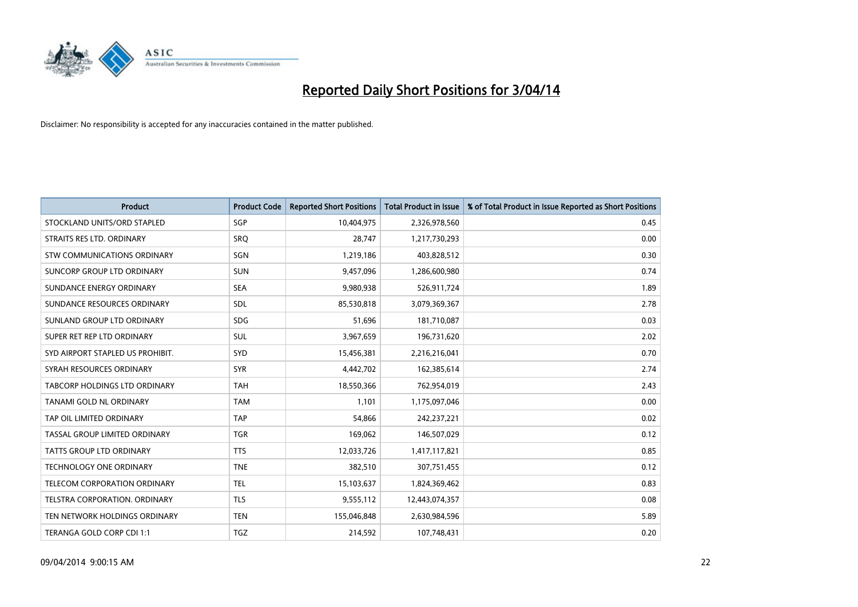

| <b>Product</b>                   | <b>Product Code</b> | <b>Reported Short Positions</b> | <b>Total Product in Issue</b> | % of Total Product in Issue Reported as Short Positions |
|----------------------------------|---------------------|---------------------------------|-------------------------------|---------------------------------------------------------|
| STOCKLAND UNITS/ORD STAPLED      | SGP                 | 10,404,975                      | 2,326,978,560                 | 0.45                                                    |
| STRAITS RES LTD. ORDINARY        | <b>SRQ</b>          | 28,747                          | 1,217,730,293                 | 0.00                                                    |
| STW COMMUNICATIONS ORDINARY      | SGN                 | 1,219,186                       | 403,828,512                   | 0.30                                                    |
| SUNCORP GROUP LTD ORDINARY       | <b>SUN</b>          | 9,457,096                       | 1,286,600,980                 | 0.74                                                    |
| SUNDANCE ENERGY ORDINARY         | <b>SEA</b>          | 9,980,938                       | 526,911,724                   | 1.89                                                    |
| SUNDANCE RESOURCES ORDINARY      | SDL                 | 85,530,818                      | 3,079,369,367                 | 2.78                                                    |
| SUNLAND GROUP LTD ORDINARY       | <b>SDG</b>          | 51,696                          | 181,710,087                   | 0.03                                                    |
| SUPER RET REP LTD ORDINARY       | SUL                 | 3,967,659                       | 196,731,620                   | 2.02                                                    |
| SYD AIRPORT STAPLED US PROHIBIT. | SYD                 | 15,456,381                      | 2,216,216,041                 | 0.70                                                    |
| SYRAH RESOURCES ORDINARY         | <b>SYR</b>          | 4,442,702                       | 162,385,614                   | 2.74                                                    |
| TABCORP HOLDINGS LTD ORDINARY    | <b>TAH</b>          | 18,550,366                      | 762,954,019                   | 2.43                                                    |
| TANAMI GOLD NL ORDINARY          | <b>TAM</b>          | 1,101                           | 1,175,097,046                 | 0.00                                                    |
| TAP OIL LIMITED ORDINARY         | <b>TAP</b>          | 54,866                          | 242,237,221                   | 0.02                                                    |
| TASSAL GROUP LIMITED ORDINARY    | <b>TGR</b>          | 169,062                         | 146,507,029                   | 0.12                                                    |
| TATTS GROUP LTD ORDINARY         | <b>TTS</b>          | 12,033,726                      | 1,417,117,821                 | 0.85                                                    |
| TECHNOLOGY ONE ORDINARY          | <b>TNE</b>          | 382,510                         | 307,751,455                   | 0.12                                                    |
| TELECOM CORPORATION ORDINARY     | <b>TEL</b>          | 15,103,637                      | 1,824,369,462                 | 0.83                                                    |
| TELSTRA CORPORATION. ORDINARY    | <b>TLS</b>          | 9,555,112                       | 12,443,074,357                | 0.08                                                    |
| TEN NETWORK HOLDINGS ORDINARY    | <b>TEN</b>          | 155,046,848                     | 2,630,984,596                 | 5.89                                                    |
| TERANGA GOLD CORP CDI 1:1        | <b>TGZ</b>          | 214,592                         | 107,748,431                   | 0.20                                                    |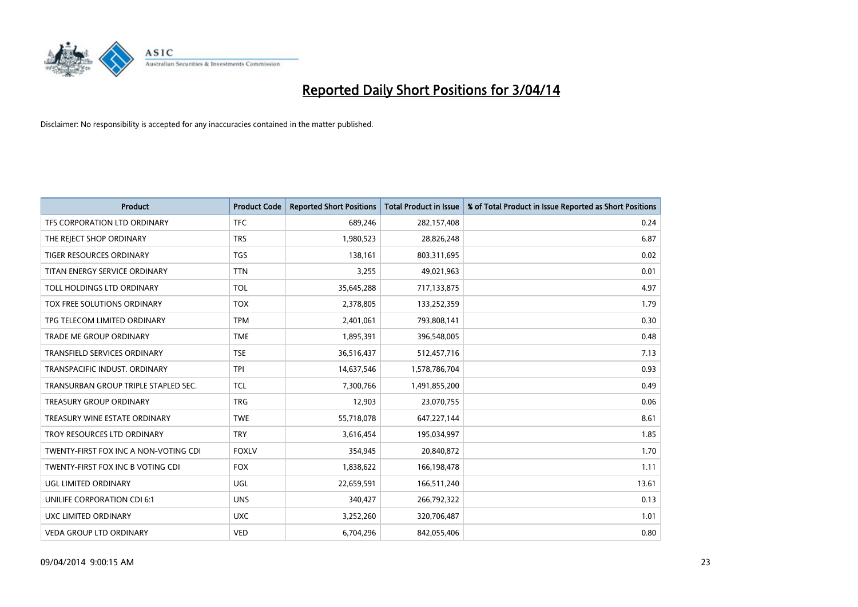

| <b>Product</b>                        | <b>Product Code</b> | <b>Reported Short Positions</b> | <b>Total Product in Issue</b> | % of Total Product in Issue Reported as Short Positions |
|---------------------------------------|---------------------|---------------------------------|-------------------------------|---------------------------------------------------------|
| TFS CORPORATION LTD ORDINARY          | <b>TFC</b>          | 689,246                         | 282,157,408                   | 0.24                                                    |
| THE REJECT SHOP ORDINARY              | <b>TRS</b>          | 1,980,523                       | 28,826,248                    | 6.87                                                    |
| <b>TIGER RESOURCES ORDINARY</b>       | <b>TGS</b>          | 138,161                         | 803,311,695                   | 0.02                                                    |
| TITAN ENERGY SERVICE ORDINARY         | <b>TTN</b>          | 3,255                           | 49,021,963                    | 0.01                                                    |
| TOLL HOLDINGS LTD ORDINARY            | <b>TOL</b>          | 35,645,288                      | 717,133,875                   | 4.97                                                    |
| TOX FREE SOLUTIONS ORDINARY           | <b>TOX</b>          | 2,378,805                       | 133,252,359                   | 1.79                                                    |
| TPG TELECOM LIMITED ORDINARY          | <b>TPM</b>          | 2,401,061                       | 793,808,141                   | 0.30                                                    |
| TRADE ME GROUP ORDINARY               | <b>TME</b>          | 1,895,391                       | 396,548,005                   | 0.48                                                    |
| <b>TRANSFIELD SERVICES ORDINARY</b>   | <b>TSE</b>          | 36,516,437                      | 512,457,716                   | 7.13                                                    |
| TRANSPACIFIC INDUST, ORDINARY         | <b>TPI</b>          | 14,637,546                      | 1,578,786,704                 | 0.93                                                    |
| TRANSURBAN GROUP TRIPLE STAPLED SEC.  | <b>TCL</b>          | 7,300,766                       | 1,491,855,200                 | 0.49                                                    |
| <b>TREASURY GROUP ORDINARY</b>        | <b>TRG</b>          | 12,903                          | 23,070,755                    | 0.06                                                    |
| TREASURY WINE ESTATE ORDINARY         | <b>TWE</b>          | 55,718,078                      | 647,227,144                   | 8.61                                                    |
| TROY RESOURCES LTD ORDINARY           | <b>TRY</b>          | 3,616,454                       | 195,034,997                   | 1.85                                                    |
| TWENTY-FIRST FOX INC A NON-VOTING CDI | <b>FOXLV</b>        | 354,945                         | 20,840,872                    | 1.70                                                    |
| TWENTY-FIRST FOX INC B VOTING CDI     | <b>FOX</b>          | 1,838,622                       | 166,198,478                   | 1.11                                                    |
| UGL LIMITED ORDINARY                  | UGL                 | 22,659,591                      | 166,511,240                   | 13.61                                                   |
| UNILIFE CORPORATION CDI 6:1           | <b>UNS</b>          | 340,427                         | 266,792,322                   | 0.13                                                    |
| UXC LIMITED ORDINARY                  | <b>UXC</b>          | 3,252,260                       | 320,706,487                   | 1.01                                                    |
| VEDA GROUP LTD ORDINARY               | <b>VED</b>          | 6,704,296                       | 842,055,406                   | 0.80                                                    |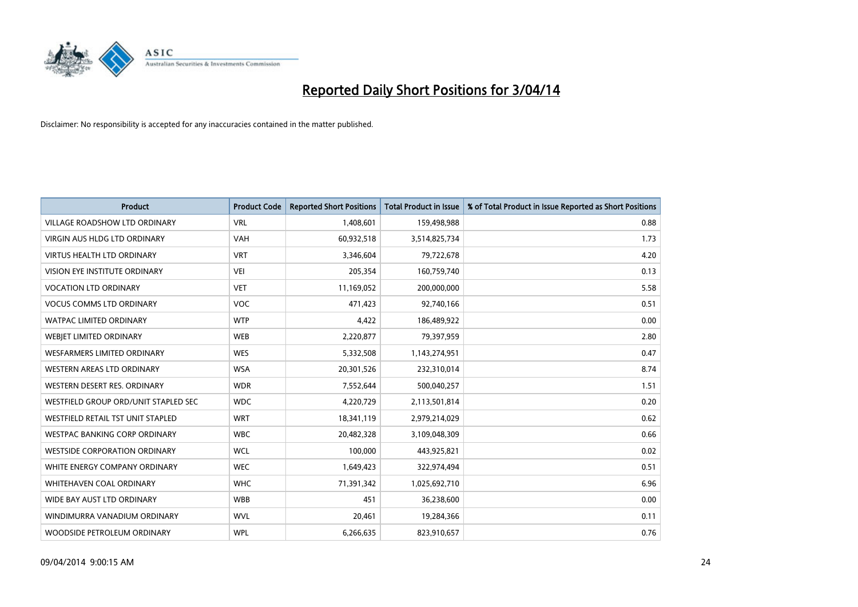

| <b>Product</b>                       | <b>Product Code</b> | <b>Reported Short Positions</b> | <b>Total Product in Issue</b> | % of Total Product in Issue Reported as Short Positions |
|--------------------------------------|---------------------|---------------------------------|-------------------------------|---------------------------------------------------------|
| <b>VILLAGE ROADSHOW LTD ORDINARY</b> | <b>VRL</b>          | 1,408,601                       | 159,498,988                   | 0.88                                                    |
| VIRGIN AUS HLDG LTD ORDINARY         | <b>VAH</b>          | 60,932,518                      | 3,514,825,734                 | 1.73                                                    |
| <b>VIRTUS HEALTH LTD ORDINARY</b>    | <b>VRT</b>          | 3,346,604                       | 79,722,678                    | 4.20                                                    |
| VISION EYE INSTITUTE ORDINARY        | <b>VEI</b>          | 205,354                         | 160,759,740                   | 0.13                                                    |
| <b>VOCATION LTD ORDINARY</b>         | <b>VET</b>          | 11,169,052                      | 200,000,000                   | 5.58                                                    |
| <b>VOCUS COMMS LTD ORDINARY</b>      | <b>VOC</b>          | 471,423                         | 92,740,166                    | 0.51                                                    |
| <b>WATPAC LIMITED ORDINARY</b>       | <b>WTP</b>          | 4,422                           | 186,489,922                   | 0.00                                                    |
| WEBIET LIMITED ORDINARY              | <b>WEB</b>          | 2,220,877                       | 79,397,959                    | 2.80                                                    |
| <b>WESFARMERS LIMITED ORDINARY</b>   | <b>WES</b>          | 5,332,508                       | 1,143,274,951                 | 0.47                                                    |
| WESTERN AREAS LTD ORDINARY           | <b>WSA</b>          | 20,301,526                      | 232,310,014                   | 8.74                                                    |
| WESTERN DESERT RES. ORDINARY         | <b>WDR</b>          | 7,552,644                       | 500,040,257                   | 1.51                                                    |
| WESTFIELD GROUP ORD/UNIT STAPLED SEC | <b>WDC</b>          | 4,220,729                       | 2,113,501,814                 | 0.20                                                    |
| WESTFIELD RETAIL TST UNIT STAPLED    | <b>WRT</b>          | 18,341,119                      | 2,979,214,029                 | 0.62                                                    |
| WESTPAC BANKING CORP ORDINARY        | <b>WBC</b>          | 20,482,328                      | 3,109,048,309                 | 0.66                                                    |
| <b>WESTSIDE CORPORATION ORDINARY</b> | <b>WCL</b>          | 100,000                         | 443,925,821                   | 0.02                                                    |
| WHITE ENERGY COMPANY ORDINARY        | <b>WEC</b>          | 1,649,423                       | 322,974,494                   | 0.51                                                    |
| WHITEHAVEN COAL ORDINARY             | <b>WHC</b>          | 71,391,342                      | 1,025,692,710                 | 6.96                                                    |
| WIDE BAY AUST LTD ORDINARY           | <b>WBB</b>          | 451                             | 36,238,600                    | 0.00                                                    |
| WINDIMURRA VANADIUM ORDINARY         | <b>WVL</b>          | 20,461                          | 19,284,366                    | 0.11                                                    |
| WOODSIDE PETROLEUM ORDINARY          | <b>WPL</b>          | 6,266,635                       | 823,910,657                   | 0.76                                                    |